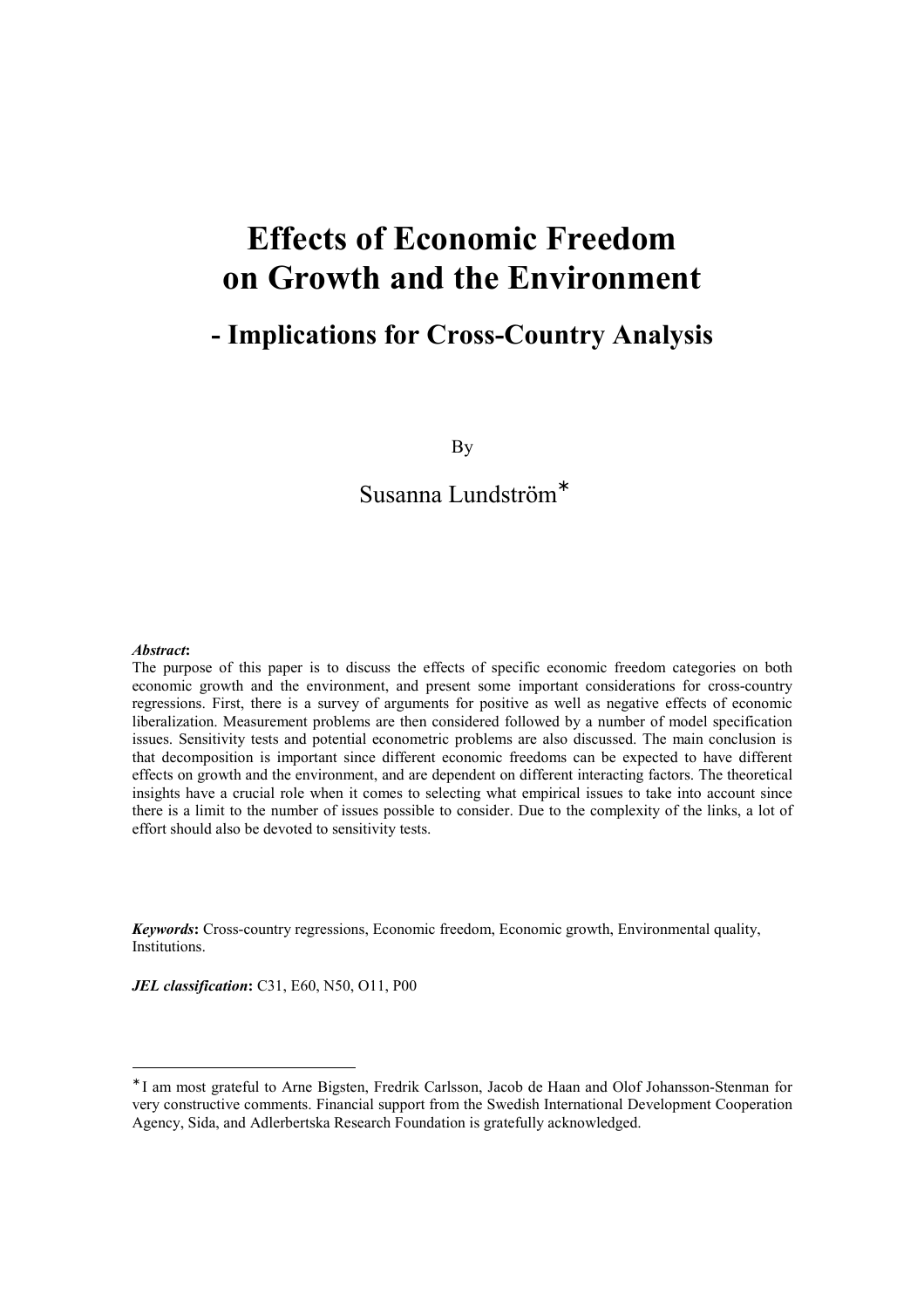# **Effects of Economic Freedom on Growth and the Environment**

## **- Implications for Cross-Country Analysis**

By

## Susanna Lundström<sup>∗</sup>

#### *Abstract***:**

 $\overline{a}$ 

The purpose of this paper is to discuss the effects of specific economic freedom categories on both economic growth and the environment, and present some important considerations for cross-country regressions. First, there is a survey of arguments for positive as well as negative effects of economic liberalization. Measurement problems are then considered followed by a number of model specification issues. Sensitivity tests and potential econometric problems are also discussed. The main conclusion is that decomposition is important since different economic freedoms can be expected to have different effects on growth and the environment, and are dependent on different interacting factors. The theoretical insights have a crucial role when it comes to selecting what empirical issues to take into account since there is a limit to the number of issues possible to consider. Due to the complexity of the links, a lot of effort should also be devoted to sensitivity tests.

*Keywords***:** Cross-country regressions, Economic freedom, Economic growth, Environmental quality, Institutions.

*JEL classification***:** C31, E60, N50, O11, P00

<sup>∗</sup> I am most grateful to Arne Bigsten, Fredrik Carlsson, Jacob de Haan and Olof Johansson-Stenman for very constructive comments. Financial support from the Swedish International Development Cooperation Agency, Sida, and Adlerbertska Research Foundation is gratefully acknowledged.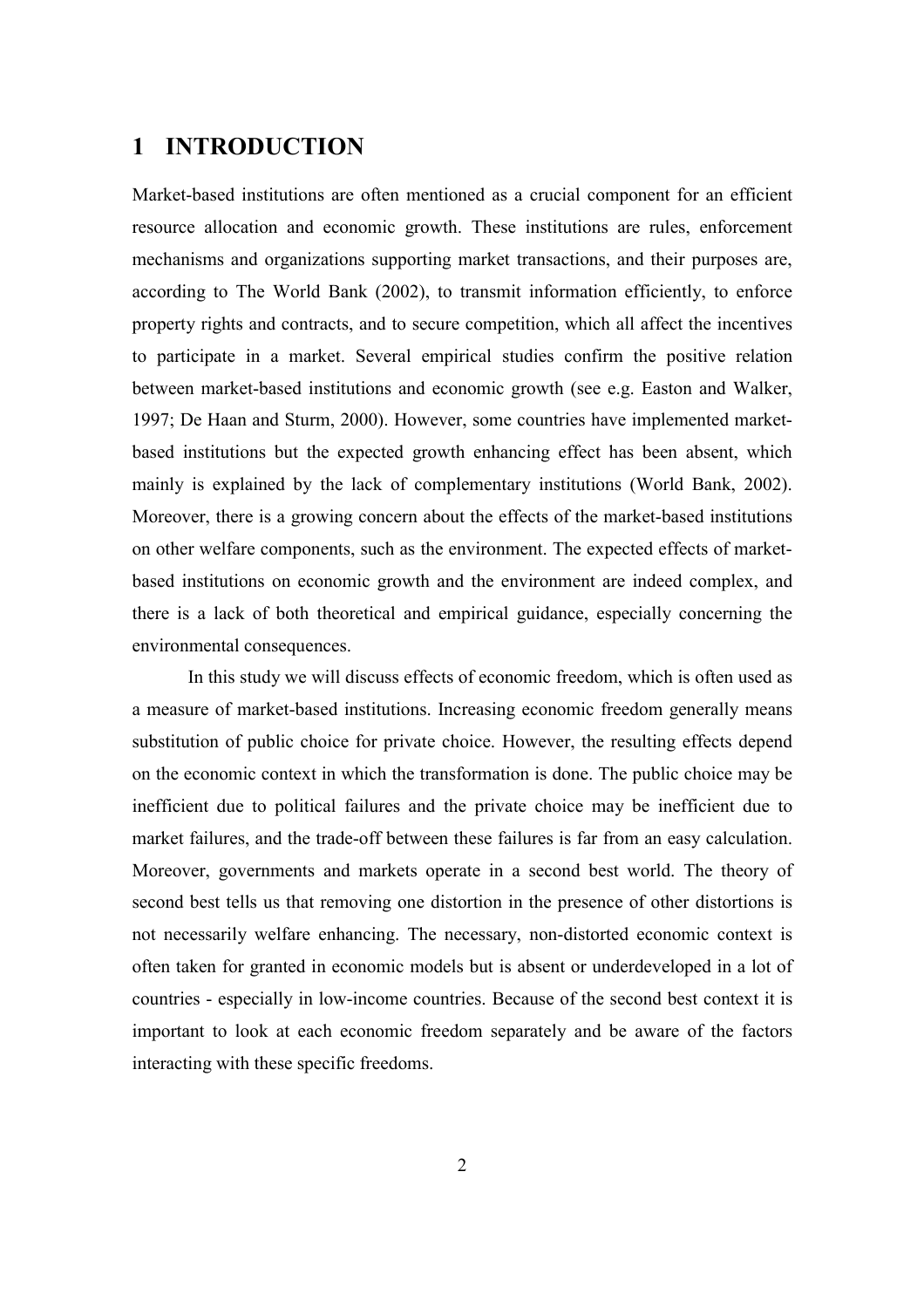## **1 INTRODUCTION**

Market-based institutions are often mentioned as a crucial component for an efficient resource allocation and economic growth. These institutions are rules, enforcement mechanisms and organizations supporting market transactions, and their purposes are, according to The World Bank (2002), to transmit information efficiently, to enforce property rights and contracts, and to secure competition, which all affect the incentives to participate in a market. Several empirical studies confirm the positive relation between market-based institutions and economic growth (see e.g. Easton and Walker, 1997; De Haan and Sturm, 2000). However, some countries have implemented marketbased institutions but the expected growth enhancing effect has been absent, which mainly is explained by the lack of complementary institutions (World Bank, 2002). Moreover, there is a growing concern about the effects of the market-based institutions on other welfare components, such as the environment. The expected effects of marketbased institutions on economic growth and the environment are indeed complex, and there is a lack of both theoretical and empirical guidance, especially concerning the environmental consequences.

In this study we will discuss effects of economic freedom, which is often used as a measure of market-based institutions. Increasing economic freedom generally means substitution of public choice for private choice. However, the resulting effects depend on the economic context in which the transformation is done. The public choice may be inefficient due to political failures and the private choice may be inefficient due to market failures, and the trade-off between these failures is far from an easy calculation. Moreover, governments and markets operate in a second best world. The theory of second best tells us that removing one distortion in the presence of other distortions is not necessarily welfare enhancing. The necessary, non-distorted economic context is often taken for granted in economic models but is absent or underdeveloped in a lot of countries - especially in low-income countries. Because of the second best context it is important to look at each economic freedom separately and be aware of the factors interacting with these specific freedoms.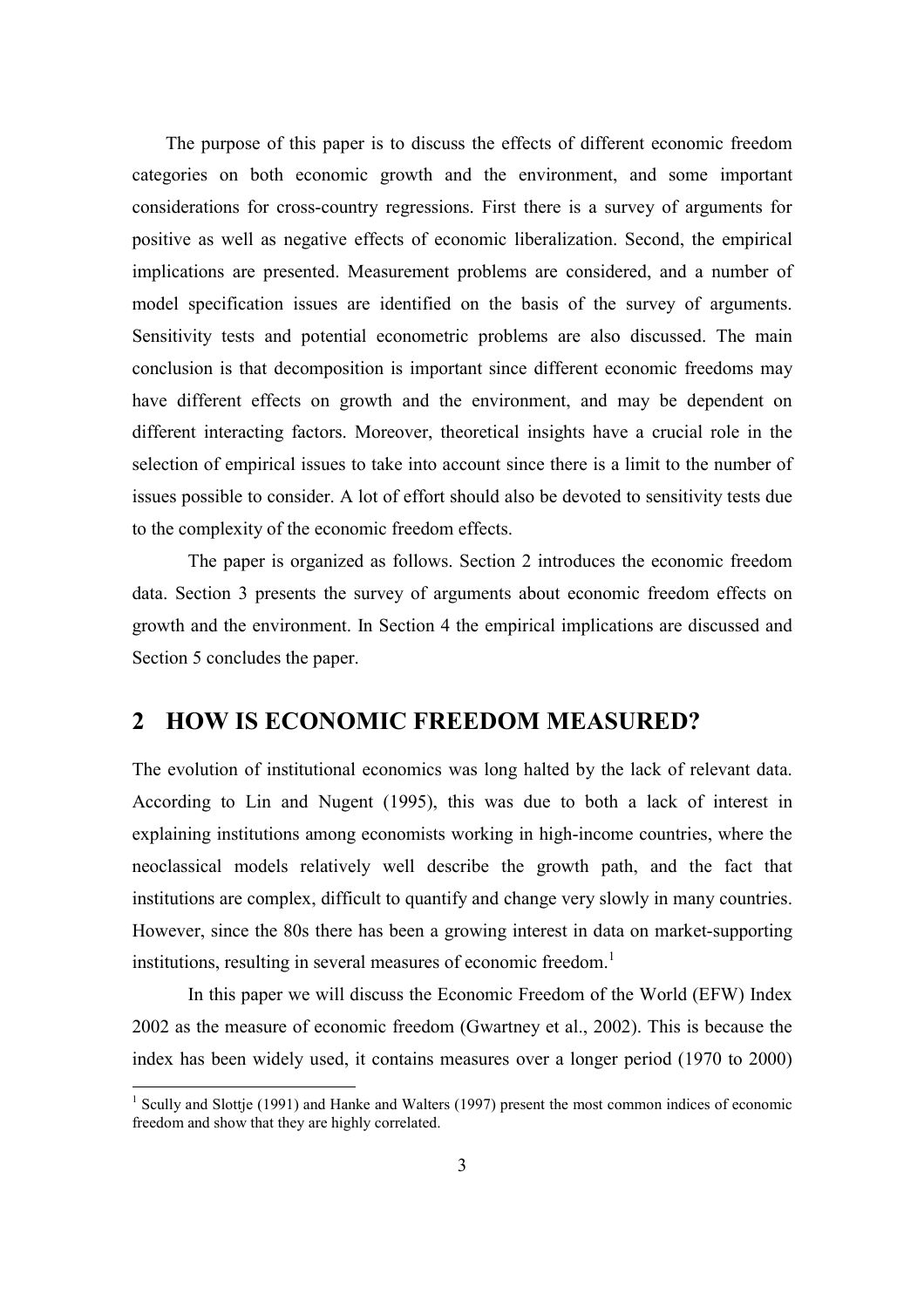The purpose of this paper is to discuss the effects of different economic freedom categories on both economic growth and the environment, and some important considerations for cross-country regressions. First there is a survey of arguments for positive as well as negative effects of economic liberalization. Second, the empirical implications are presented. Measurement problems are considered, and a number of model specification issues are identified on the basis of the survey of arguments. Sensitivity tests and potential econometric problems are also discussed. The main conclusion is that decomposition is important since different economic freedoms may have different effects on growth and the environment, and may be dependent on different interacting factors. Moreover, theoretical insights have a crucial role in the selection of empirical issues to take into account since there is a limit to the number of issues possible to consider. A lot of effort should also be devoted to sensitivity tests due to the complexity of the economic freedom effects.

The paper is organized as follows. Section 2 introduces the economic freedom data. Section 3 presents the survey of arguments about economic freedom effects on growth and the environment. In Section 4 the empirical implications are discussed and Section 5 concludes the paper.

## **2 HOW IS ECONOMIC FREEDOM MEASURED?**

The evolution of institutional economics was long halted by the lack of relevant data. According to Lin and Nugent (1995), this was due to both a lack of interest in explaining institutions among economists working in high-income countries, where the neoclassical models relatively well describe the growth path, and the fact that institutions are complex, difficult to quantify and change very slowly in many countries. However, since the 80s there has been a growing interest in data on market-supporting institutions, resulting in several measures of economic freedom.<sup>1</sup>

In this paper we will discuss the Economic Freedom of the World (EFW) Index 2002 as the measure of economic freedom (Gwartney et al., 2002). This is because the index has been widely used, it contains measures over a longer period (1970 to 2000)

<sup>&</sup>lt;sup>1</sup> Scully and Slottje (1991) and Hanke and Walters (1997) present the most common indices of economic freedom and show that they are highly correlated.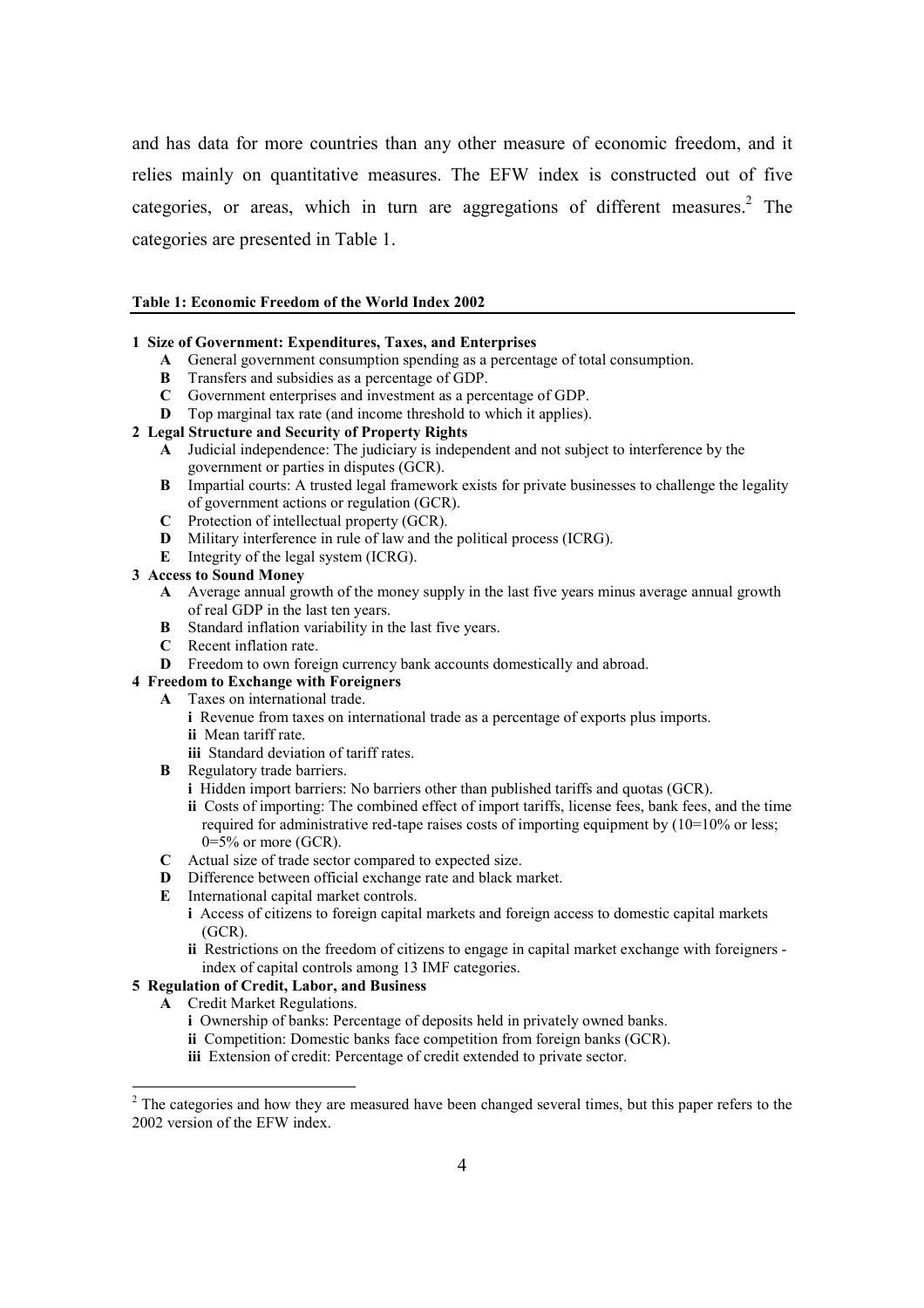and has data for more countries than any other measure of economic freedom, and it relies mainly on quantitative measures. The EFW index is constructed out of five categories, or areas, which in turn are aggregations of different measures.<sup>2</sup> The categories are presented in Table 1.

#### **Table 1: Economic Freedom of the World Index 2002**

#### **1 Size of Government: Expenditures, Taxes, and Enterprises**

- **A** General government consumption spending as a percentage of total consumption.
- **B** Transfers and subsidies as a percentage of GDP.
- **C** Government enterprises and investment as a percentage of GDP.
- **D** Top marginal tax rate (and income threshold to which it applies).

#### **2 Legal Structure and Security of Property Rights**

- **A** Judicial independence: The judiciary is independent and not subject to interference by the government or parties in disputes (GCR).
- **B** Impartial courts: A trusted legal framework exists for private businesses to challenge the legality of government actions or regulation (GCR).
- **C** Protection of intellectual property (GCR).
- **D** Military interference in rule of law and the political process (ICRG).
- **E** Integrity of the legal system (ICRG).

#### **3 Access to Sound Money**

- **A** Average annual growth of the money supply in the last five years minus average annual growth of real GDP in the last ten years.
- **B** Standard inflation variability in the last five years.
- **C** Recent inflation rate.
- **D** Freedom to own foreign currency bank accounts domestically and abroad.

#### **4 Freedom to Exchange with Foreigners**

- **A** Taxes on international trade.
	- **i** Revenue from taxes on international trade as a percentage of exports plus imports. **ii** Mean tariff rate.
	- **iii** Standard deviation of tariff rates.
- **B** Regulatory trade barriers.
	- **i** Hidden import barriers: No barriers other than published tariffs and quotas (GCR).
	- **ii** Costs of importing: The combined effect of import tariffs, license fees, bank fees, and the time required for administrative red-tape raises costs of importing equipment by (10=10% or less;  $0=5\%$  or more (GCR).
- **C** Actual size of trade sector compared to expected size.
- **D** Difference between official exchange rate and black market.
- **E** International capital market controls.
	- **i** Access of citizens to foreign capital markets and foreign access to domestic capital markets (GCR).
	- **ii** Restrictions on the freedom of citizens to engage in capital market exchange with foreigners index of capital controls among 13 IMF categories.

#### **5 Regulation of Credit, Labor, and Business**

**A** Credit Market Regulations.

- **i** Ownership of banks: Percentage of deposits held in privately owned banks.
- **ii** Competition: Domestic banks face competition from foreign banks (GCR).
- **iii** Extension of credit: Percentage of credit extended to private sector.

 $2<sup>2</sup>$  The categories and how they are measured have been changed several times, but this paper refers to the 2002 version of the EFW index.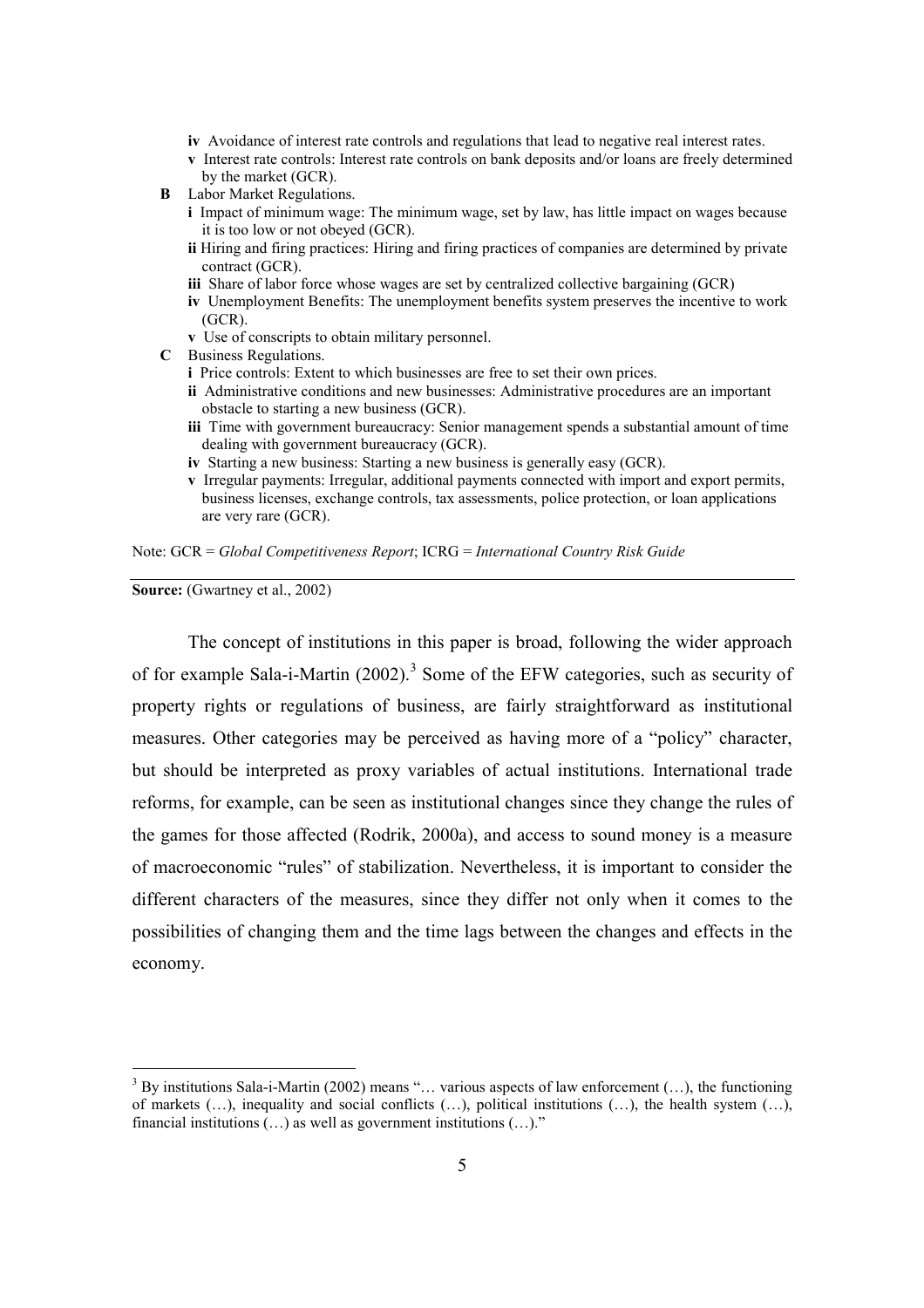- **iv** Avoidance of interest rate controls and regulations that lead to negative real interest rates.
- **v** Interest rate controls: Interest rate controls on bank deposits and/or loans are freely determined by the market (GCR).
- **B** Labor Market Regulations.
	- **i** Impact of minimum wage: The minimum wage, set by law, has little impact on wages because it is too low or not obeyed (GCR).
	- **ii** Hiring and firing practices: Hiring and firing practices of companies are determined by private contract (GCR).
	- **iii** Share of labor force whose wages are set by centralized collective bargaining (GCR)
	- **iv** Unemployment Benefits: The unemployment benefits system preserves the incentive to work (GCR).
	- **v** Use of conscripts to obtain military personnel.
- **C** Business Regulations.
	- **i** Price controls: Extent to which businesses are free to set their own prices.
	- **ii** Administrative conditions and new businesses: Administrative procedures are an important obstacle to starting a new business (GCR).
	- **iii** Time with government bureaucracy: Senior management spends a substantial amount of time dealing with government bureaucracy (GCR).
	- **iv** Starting a new business: Starting a new business is generally easy (GCR).
	- **v** Irregular payments: Irregular, additional payments connected with import and export permits, business licenses, exchange controls, tax assessments, police protection, or loan applications are very rare (GCR).

Note: GCR = *Global Competitiveness Report*; ICRG = *International Country Risk Guide*

**Source:** (Gwartney et al., 2002)

 $\overline{a}$ 

The concept of institutions in this paper is broad, following the wider approach of for example Sala-i-Martin  $(2002)$ .<sup>3</sup> Some of the EFW categories, such as security of property rights or regulations of business, are fairly straightforward as institutional measures. Other categories may be perceived as having more of a "policy" character, but should be interpreted as proxy variables of actual institutions. International trade reforms, for example, can be seen as institutional changes since they change the rules of the games for those affected (Rodrik, 2000a), and access to sound money is a measure of macroeconomic "rules" of stabilization. Nevertheless, it is important to consider the different characters of the measures, since they differ not only when it comes to the possibilities of changing them and the time lags between the changes and effects in the economy.

 $3$  By institutions Sala-i-Martin (2002) means "... various aspects of law enforcement (...), the functioning of markets  $(...)$ , inequality and social conflicts  $(...)$ , political institutions  $(...)$ , the health system  $(...)$ , financial institutions  $(...)$  as well as government institutions  $(...)$ ."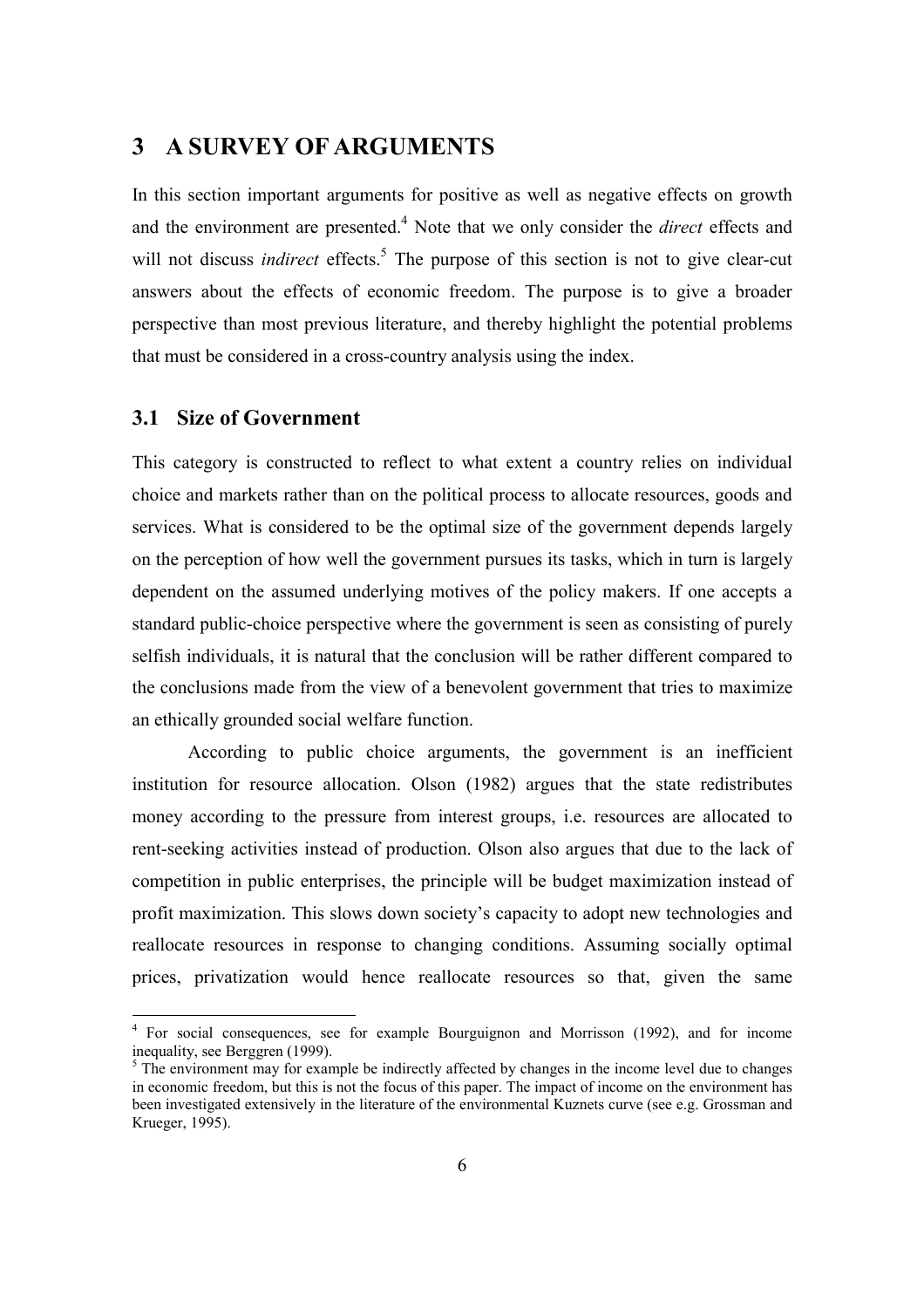## **3 A SURVEY OF ARGUMENTS**

In this section important arguments for positive as well as negative effects on growth and the environment are presented.<sup>4</sup> Note that we only consider the *direct* effects and will not discuss *indirect* effects.<sup>5</sup> The purpose of this section is not to give clear-cut answers about the effects of economic freedom. The purpose is to give a broader perspective than most previous literature, and thereby highlight the potential problems that must be considered in a cross-country analysis using the index.

## **3.1 Size of Government**

 $\overline{a}$ 

This category is constructed to reflect to what extent a country relies on individual choice and markets rather than on the political process to allocate resources, goods and services. What is considered to be the optimal size of the government depends largely on the perception of how well the government pursues its tasks, which in turn is largely dependent on the assumed underlying motives of the policy makers. If one accepts a standard public-choice perspective where the government is seen as consisting of purely selfish individuals, it is natural that the conclusion will be rather different compared to the conclusions made from the view of a benevolent government that tries to maximize an ethically grounded social welfare function.

According to public choice arguments, the government is an inefficient institution for resource allocation. Olson (1982) argues that the state redistributes money according to the pressure from interest groups, i.e. resources are allocated to rent-seeking activities instead of production. Olson also argues that due to the lack of competition in public enterprises, the principle will be budget maximization instead of profit maximization. This slows down society's capacity to adopt new technologies and reallocate resources in response to changing conditions. Assuming socially optimal prices, privatization would hence reallocate resources so that, given the same

<sup>&</sup>lt;sup>4</sup> For social consequences, see for example Bourguignon and Morrisson (1992), and for income inequality, see Berggren (1999).

<sup>&</sup>lt;sup>5</sup> The environment may for example be indirectly affected by changes in the income level due to changes in economic freedom, but this is not the focus of this paper. The impact of income on the environment has been investigated extensively in the literature of the environmental Kuznets curve (see e.g. Grossman and Krueger, 1995).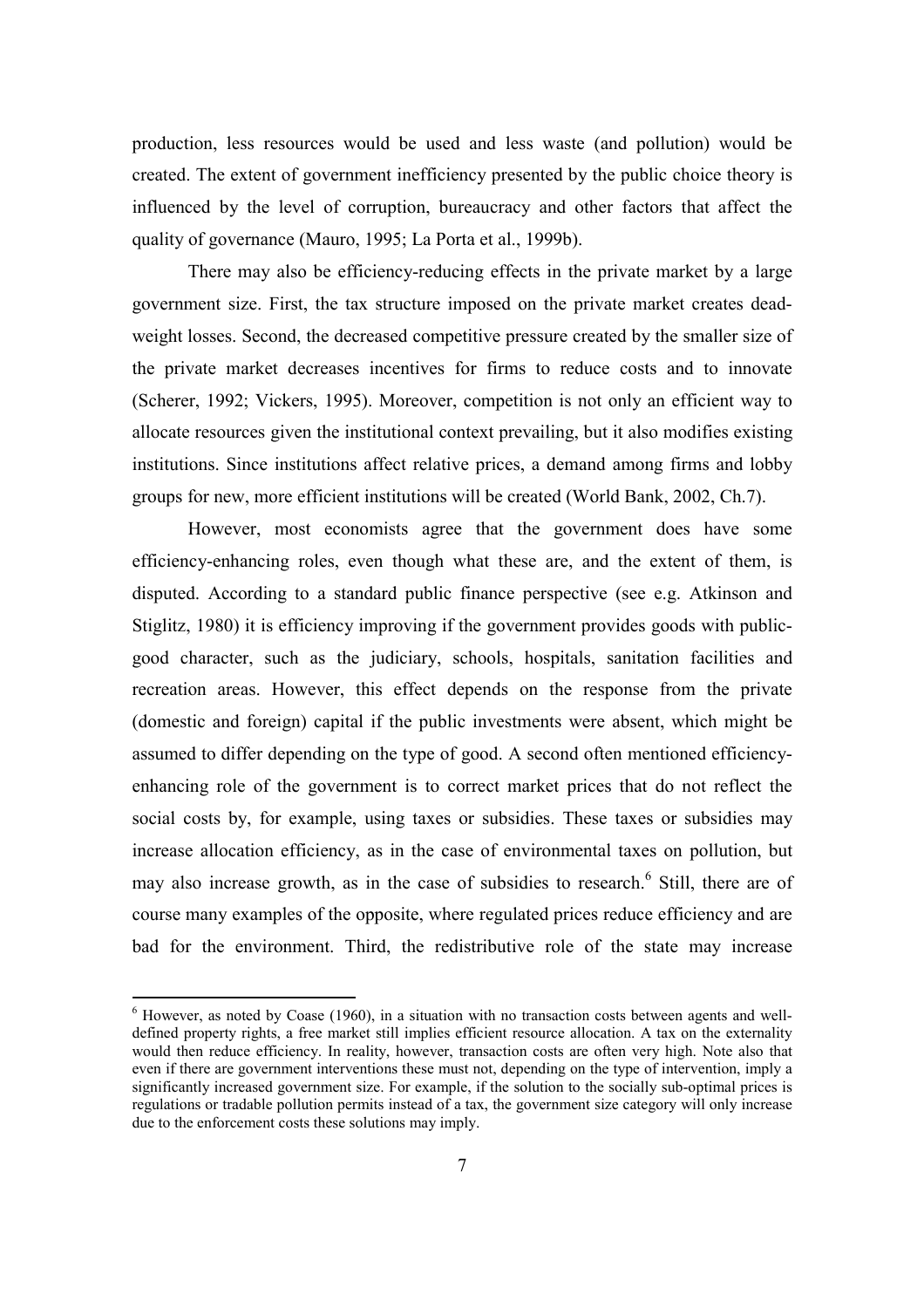production, less resources would be used and less waste (and pollution) would be created. The extent of government inefficiency presented by the public choice theory is influenced by the level of corruption, bureaucracy and other factors that affect the quality of governance (Mauro, 1995; La Porta et al., 1999b).

There may also be efficiency-reducing effects in the private market by a large government size. First, the tax structure imposed on the private market creates deadweight losses. Second, the decreased competitive pressure created by the smaller size of the private market decreases incentives for firms to reduce costs and to innovate (Scherer, 1992; Vickers, 1995). Moreover, competition is not only an efficient way to allocate resources given the institutional context prevailing, but it also modifies existing institutions. Since institutions affect relative prices, a demand among firms and lobby groups for new, more efficient institutions will be created (World Bank, 2002, Ch.7).

However, most economists agree that the government does have some efficiency-enhancing roles, even though what these are, and the extent of them, is disputed. According to a standard public finance perspective (see e.g. Atkinson and Stiglitz, 1980) it is efficiency improving if the government provides goods with publicgood character, such as the judiciary, schools, hospitals, sanitation facilities and recreation areas. However, this effect depends on the response from the private (domestic and foreign) capital if the public investments were absent, which might be assumed to differ depending on the type of good. A second often mentioned efficiencyenhancing role of the government is to correct market prices that do not reflect the social costs by, for example, using taxes or subsidies. These taxes or subsidies may increase allocation efficiency, as in the case of environmental taxes on pollution, but may also increase growth, as in the case of subsidies to research.<sup>6</sup> Still, there are of course many examples of the opposite, where regulated prices reduce efficiency and are bad for the environment. Third, the redistributive role of the state may increase

 $<sup>6</sup>$  However, as noted by Coase (1960), in a situation with no transaction costs between agents and well-</sup> defined property rights, a free market still implies efficient resource allocation. A tax on the externality would then reduce efficiency. In reality, however, transaction costs are often very high. Note also that even if there are government interventions these must not, depending on the type of intervention, imply a significantly increased government size. For example, if the solution to the socially sub-optimal prices is regulations or tradable pollution permits instead of a tax, the government size category will only increase due to the enforcement costs these solutions may imply.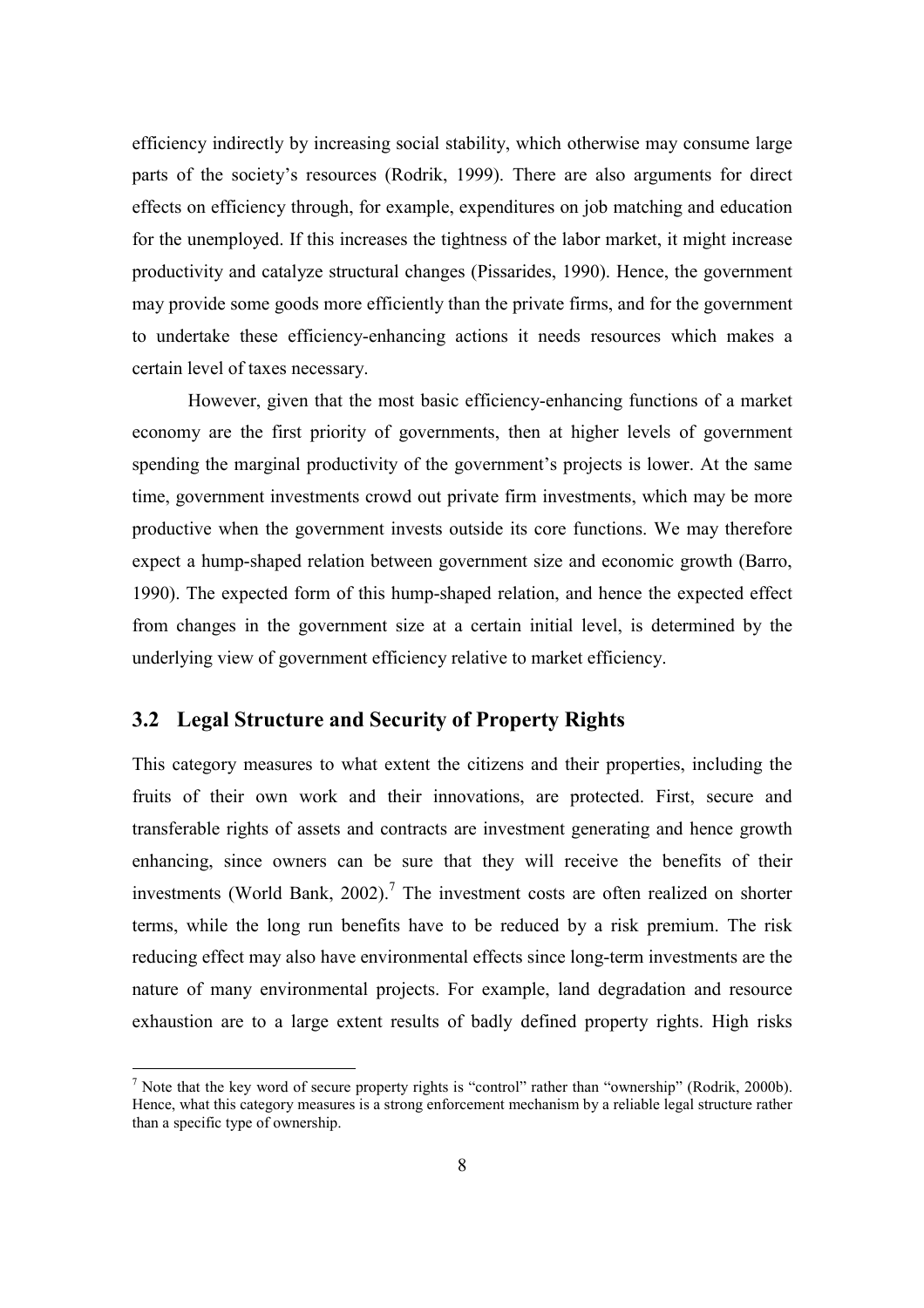efficiency indirectly by increasing social stability, which otherwise may consume large parts of the society's resources (Rodrik, 1999). There are also arguments for direct effects on efficiency through, for example, expenditures on job matching and education for the unemployed. If this increases the tightness of the labor market, it might increase productivity and catalyze structural changes (Pissarides, 1990). Hence, the government may provide some goods more efficiently than the private firms, and for the government to undertake these efficiency-enhancing actions it needs resources which makes a certain level of taxes necessary.

However, given that the most basic efficiency-enhancing functions of a market economy are the first priority of governments, then at higher levels of government spending the marginal productivity of the government's projects is lower. At the same time, government investments crowd out private firm investments, which may be more productive when the government invests outside its core functions. We may therefore expect a hump-shaped relation between government size and economic growth (Barro, 1990). The expected form of this hump-shaped relation, and hence the expected effect from changes in the government size at a certain initial level, is determined by the underlying view of government efficiency relative to market efficiency.

## **3.2 Legal Structure and Security of Property Rights**

 $\overline{a}$ 

This category measures to what extent the citizens and their properties, including the fruits of their own work and their innovations, are protected. First, secure and transferable rights of assets and contracts are investment generating and hence growth enhancing, since owners can be sure that they will receive the benefits of their investments (World Bank, 2002).<sup>7</sup> The investment costs are often realized on shorter terms, while the long run benefits have to be reduced by a risk premium. The risk reducing effect may also have environmental effects since long-term investments are the nature of many environmental projects. For example, land degradation and resource exhaustion are to a large extent results of badly defined property rights. High risks

<sup>&</sup>lt;sup>7</sup> Note that the key word of secure property rights is "control" rather than "ownership" (Rodrik, 2000b). Hence, what this category measures is a strong enforcement mechanism by a reliable legal structure rather than a specific type of ownership.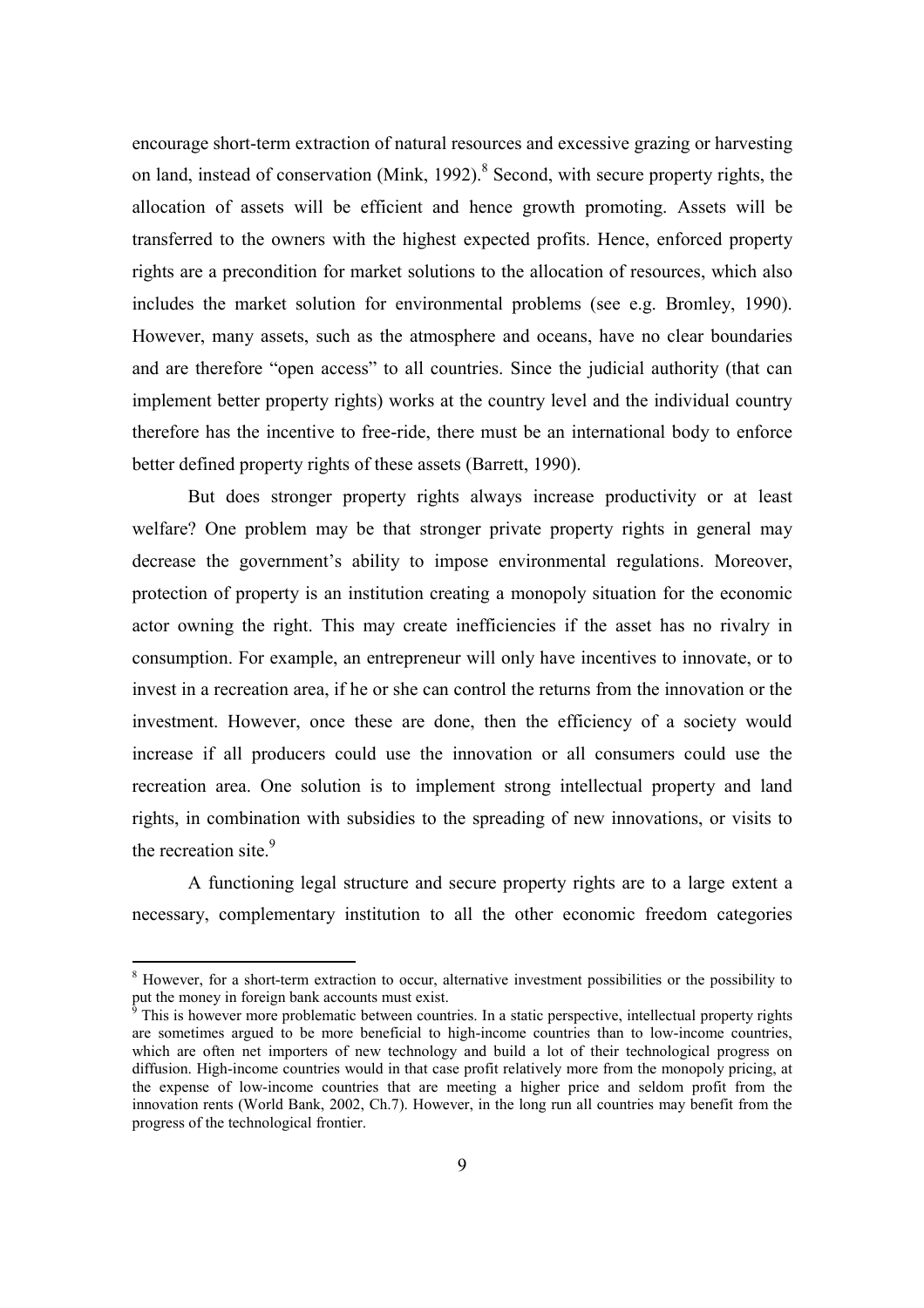encourage short-term extraction of natural resources and excessive grazing or harvesting on land, instead of conservation (Mink, 1992). $8$  Second, with secure property rights, the allocation of assets will be efficient and hence growth promoting. Assets will be transferred to the owners with the highest expected profits. Hence, enforced property rights are a precondition for market solutions to the allocation of resources, which also includes the market solution for environmental problems (see e.g. Bromley, 1990). However, many assets, such as the atmosphere and oceans, have no clear boundaries and are therefore "open access" to all countries. Since the judicial authority (that can implement better property rights) works at the country level and the individual country therefore has the incentive to free-ride, there must be an international body to enforce better defined property rights of these assets (Barrett, 1990).

But does stronger property rights always increase productivity or at least welfare? One problem may be that stronger private property rights in general may decrease the government's ability to impose environmental regulations. Moreover, protection of property is an institution creating a monopoly situation for the economic actor owning the right. This may create inefficiencies if the asset has no rivalry in consumption. For example, an entrepreneur will only have incentives to innovate, or to invest in a recreation area, if he or she can control the returns from the innovation or the investment. However, once these are done, then the efficiency of a society would increase if all producers could use the innovation or all consumers could use the recreation area. One solution is to implement strong intellectual property and land rights, in combination with subsidies to the spreading of new innovations, or visits to the recreation site  $9$ 

 A functioning legal structure and secure property rights are to a large extent a necessary, complementary institution to all the other economic freedom categories

<sup>&</sup>lt;sup>8</sup> However, for a short-term extraction to occur, alternative investment possibilities or the possibility to put the money in foreign bank accounts must exist.

<sup>&</sup>lt;sup>9</sup> This is however more problematic between countries. In a static perspective, intellectual property rights are sometimes argued to be more beneficial to high-income countries than to low-income countries, which are often net importers of new technology and build a lot of their technological progress on diffusion. High-income countries would in that case profit relatively more from the monopoly pricing, at the expense of low-income countries that are meeting a higher price and seldom profit from the innovation rents (World Bank, 2002, Ch.7). However, in the long run all countries may benefit from the progress of the technological frontier.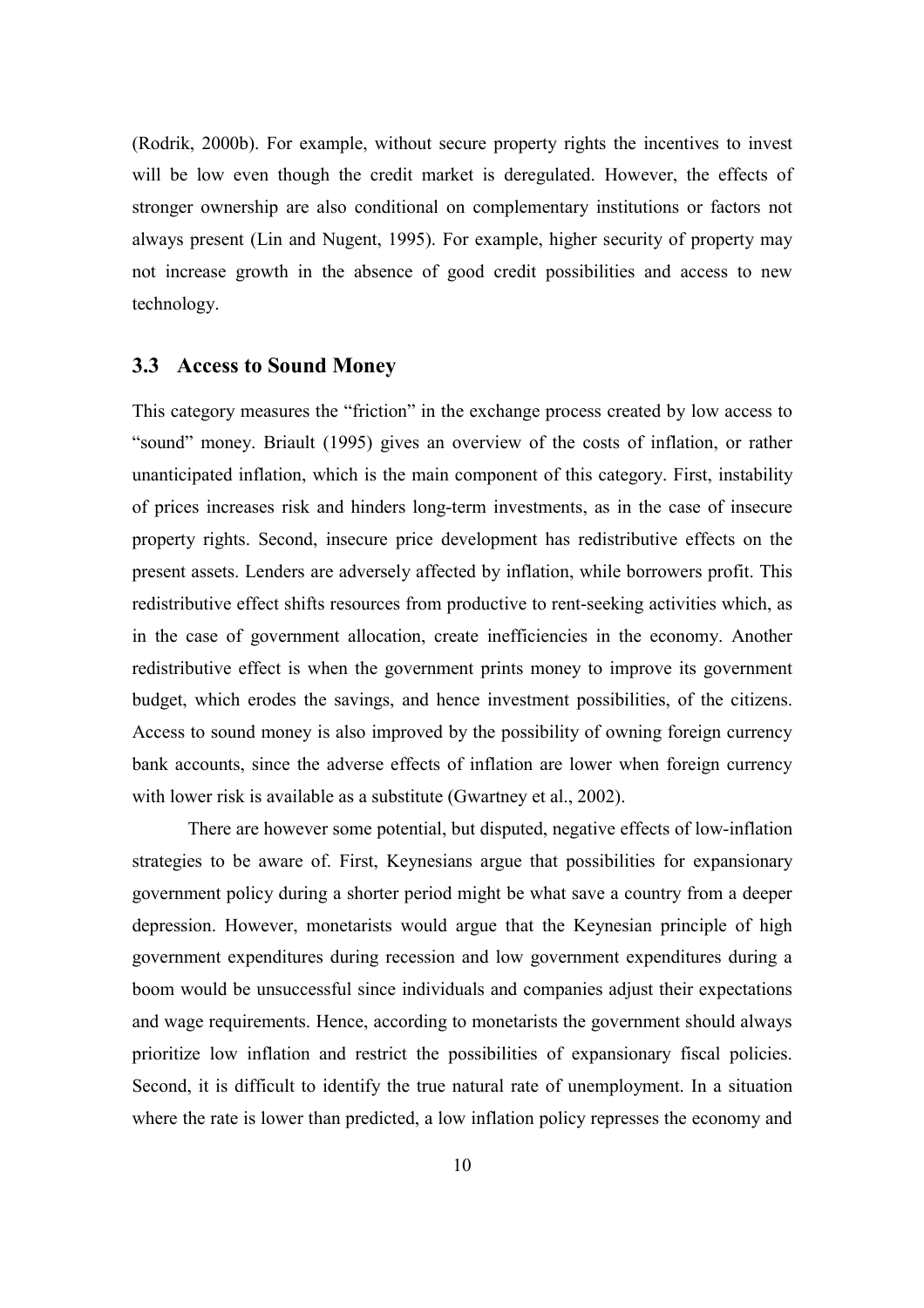(Rodrik, 2000b). For example, without secure property rights the incentives to invest will be low even though the credit market is deregulated. However, the effects of stronger ownership are also conditional on complementary institutions or factors not always present (Lin and Nugent, 1995). For example, higher security of property may not increase growth in the absence of good credit possibilities and access to new technology.

## **3.3 Access to Sound Money**

This category measures the "friction" in the exchange process created by low access to "sound" money. Briault (1995) gives an overview of the costs of inflation, or rather unanticipated inflation, which is the main component of this category. First, instability of prices increases risk and hinders long-term investments, as in the case of insecure property rights. Second, insecure price development has redistributive effects on the present assets. Lenders are adversely affected by inflation, while borrowers profit. This redistributive effect shifts resources from productive to rent-seeking activities which, as in the case of government allocation, create inefficiencies in the economy. Another redistributive effect is when the government prints money to improve its government budget, which erodes the savings, and hence investment possibilities, of the citizens. Access to sound money is also improved by the possibility of owning foreign currency bank accounts, since the adverse effects of inflation are lower when foreign currency with lower risk is available as a substitute (Gwartney et al., 2002).

 There are however some potential, but disputed, negative effects of low-inflation strategies to be aware of. First, Keynesians argue that possibilities for expansionary government policy during a shorter period might be what save a country from a deeper depression. However, monetarists would argue that the Keynesian principle of high government expenditures during recession and low government expenditures during a boom would be unsuccessful since individuals and companies adjust their expectations and wage requirements. Hence, according to monetarists the government should always prioritize low inflation and restrict the possibilities of expansionary fiscal policies. Second, it is difficult to identify the true natural rate of unemployment. In a situation where the rate is lower than predicted, a low inflation policy represses the economy and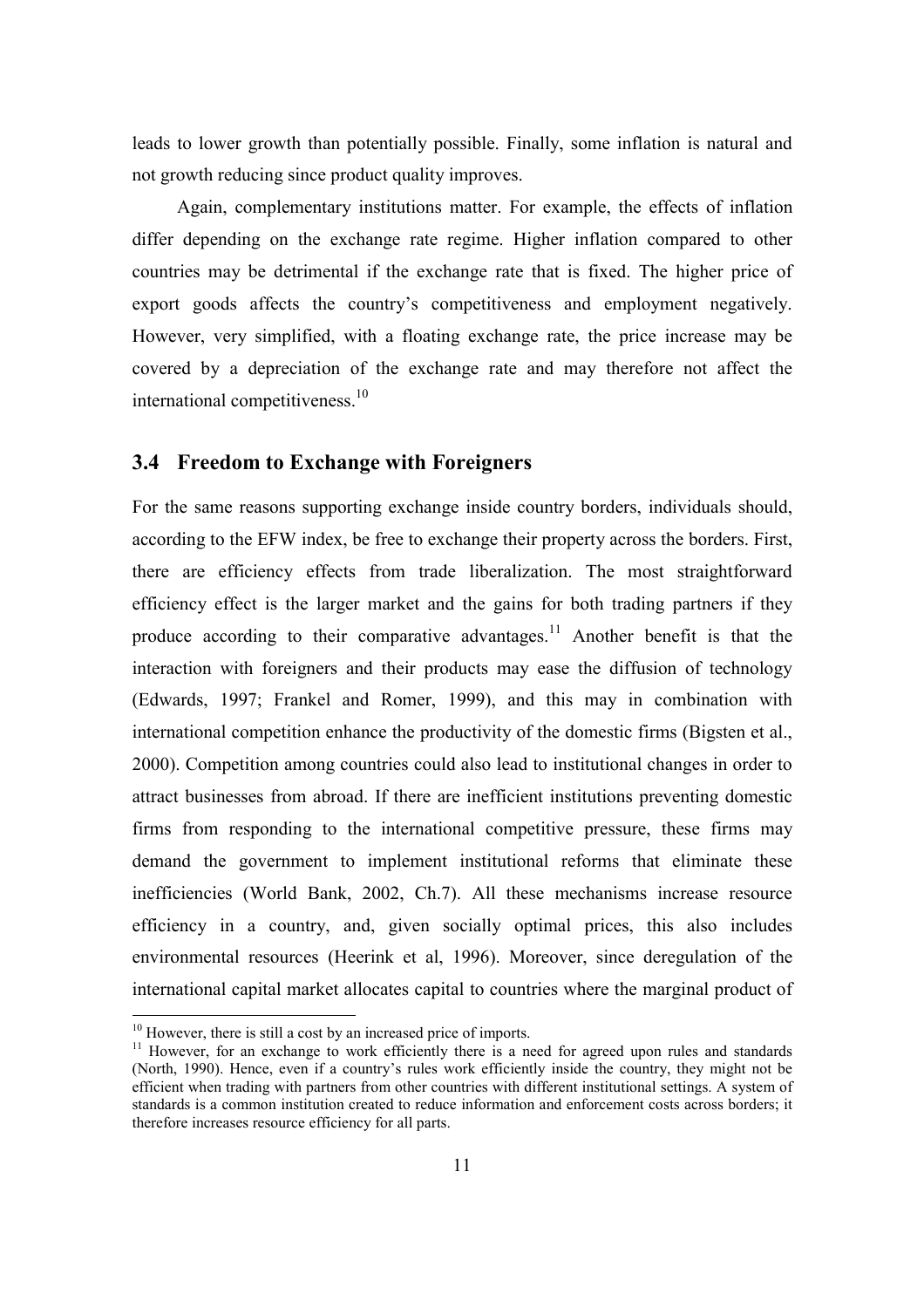leads to lower growth than potentially possible. Finally, some inflation is natural and not growth reducing since product quality improves.

Again, complementary institutions matter. For example, the effects of inflation differ depending on the exchange rate regime. Higher inflation compared to other countries may be detrimental if the exchange rate that is fixed. The higher price of export goods affects the country's competitiveness and employment negatively. However, very simplified, with a floating exchange rate, the price increase may be covered by a depreciation of the exchange rate and may therefore not affect the international competitiveness.<sup>10</sup>

## **3.4 Freedom to Exchange with Foreigners**

For the same reasons supporting exchange inside country borders, individuals should, according to the EFW index, be free to exchange their property across the borders. First, there are efficiency effects from trade liberalization. The most straightforward efficiency effect is the larger market and the gains for both trading partners if they produce according to their comparative advantages.<sup>11</sup> Another benefit is that the interaction with foreigners and their products may ease the diffusion of technology (Edwards, 1997; Frankel and Romer, 1999), and this may in combination with international competition enhance the productivity of the domestic firms (Bigsten et al., 2000). Competition among countries could also lead to institutional changes in order to attract businesses from abroad. If there are inefficient institutions preventing domestic firms from responding to the international competitive pressure, these firms may demand the government to implement institutional reforms that eliminate these inefficiencies (World Bank, 2002, Ch.7). All these mechanisms increase resource efficiency in a country, and, given socially optimal prices, this also includes environmental resources (Heerink et al, 1996). Moreover, since deregulation of the international capital market allocates capital to countries where the marginal product of

 $10$  However, there is still a cost by an increased price of imports.

 $11$  However, for an exchange to work efficiently there is a need for agreed upon rules and standards (North, 1990). Hence, even if a country's rules work efficiently inside the country, they might not be efficient when trading with partners from other countries with different institutional settings. A system of standards is a common institution created to reduce information and enforcement costs across borders; it therefore increases resource efficiency for all parts.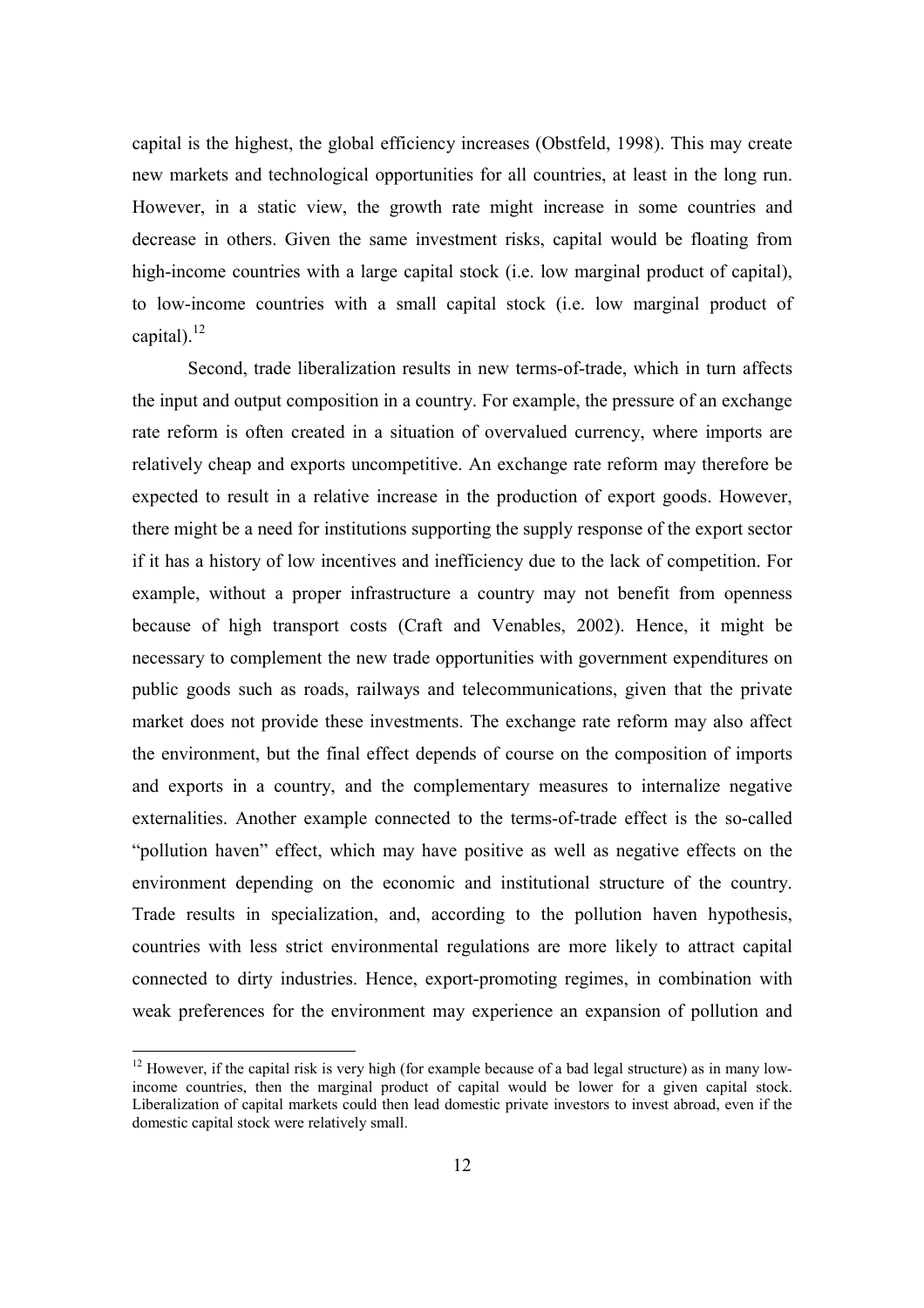capital is the highest, the global efficiency increases (Obstfeld, 1998). This may create new markets and technological opportunities for all countries, at least in the long run. However, in a static view, the growth rate might increase in some countries and decrease in others. Given the same investment risks, capital would be floating from high-income countries with a large capital stock (i.e. low marginal product of capital), to low-income countries with a small capital stock (i.e. low marginal product of capital).<sup>12</sup>

Second, trade liberalization results in new terms-of-trade, which in turn affects the input and output composition in a country. For example, the pressure of an exchange rate reform is often created in a situation of overvalued currency, where imports are relatively cheap and exports uncompetitive. An exchange rate reform may therefore be expected to result in a relative increase in the production of export goods. However, there might be a need for institutions supporting the supply response of the export sector if it has a history of low incentives and inefficiency due to the lack of competition. For example, without a proper infrastructure a country may not benefit from openness because of high transport costs (Craft and Venables, 2002). Hence, it might be necessary to complement the new trade opportunities with government expenditures on public goods such as roads, railways and telecommunications, given that the private market does not provide these investments. The exchange rate reform may also affect the environment, but the final effect depends of course on the composition of imports and exports in a country, and the complementary measures to internalize negative externalities. Another example connected to the terms-of-trade effect is the so-called "pollution haven" effect, which may have positive as well as negative effects on the environment depending on the economic and institutional structure of the country. Trade results in specialization, and, according to the pollution haven hypothesis, countries with less strict environmental regulations are more likely to attract capital connected to dirty industries. Hence, export-promoting regimes, in combination with weak preferences for the environment may experience an expansion of pollution and

 $12$  However, if the capital risk is very high (for example because of a bad legal structure) as in many lowincome countries, then the marginal product of capital would be lower for a given capital stock. Liberalization of capital markets could then lead domestic private investors to invest abroad, even if the domestic capital stock were relatively small.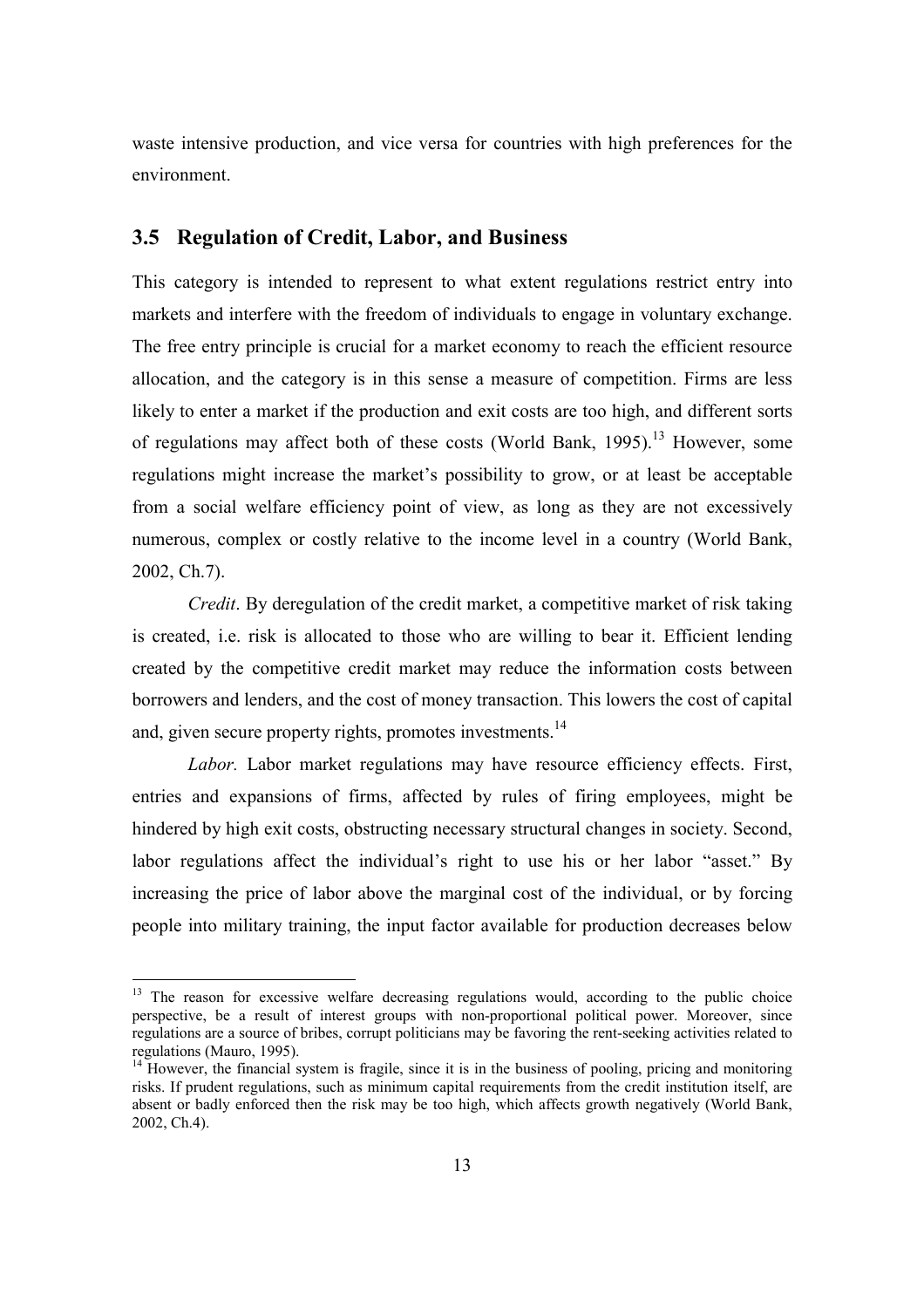waste intensive production, and vice versa for countries with high preferences for the environment.

## **3.5 Regulation of Credit, Labor, and Business**

This category is intended to represent to what extent regulations restrict entry into markets and interfere with the freedom of individuals to engage in voluntary exchange. The free entry principle is crucial for a market economy to reach the efficient resource allocation, and the category is in this sense a measure of competition. Firms are less likely to enter a market if the production and exit costs are too high, and different sorts of regulations may affect both of these costs (World Bank, 1995).<sup>13</sup> However, some regulations might increase the market's possibility to grow, or at least be acceptable from a social welfare efficiency point of view, as long as they are not excessively numerous, complex or costly relative to the income level in a country (World Bank, 2002, Ch.7).

*Credit*. By deregulation of the credit market, a competitive market of risk taking is created, i.e. risk is allocated to those who are willing to bear it. Efficient lending created by the competitive credit market may reduce the information costs between borrowers and lenders, and the cost of money transaction. This lowers the cost of capital and, given secure property rights, promotes investments.<sup>14</sup>

*Labor.* Labor market regulations may have resource efficiency effects. First, entries and expansions of firms, affected by rules of firing employees, might be hindered by high exit costs, obstructing necessary structural changes in society. Second, labor regulations affect the individual's right to use his or her labor "asset." By increasing the price of labor above the marginal cost of the individual, or by forcing people into military training, the input factor available for production decreases below

 $13$  The reason for excessive welfare decreasing regulations would, according to the public choice perspective, be a result of interest groups with non-proportional political power. Moreover, since regulations are a source of bribes, corrupt politicians may be favoring the rent-seeking activities related to regulations (Mauro, 1995).

<sup>&</sup>lt;sup>14</sup> However, the financial system is fragile, since it is in the business of pooling, pricing and monitoring risks. If prudent regulations, such as minimum capital requirements from the credit institution itself, are absent or badly enforced then the risk may be too high, which affects growth negatively (World Bank, 2002, Ch.4).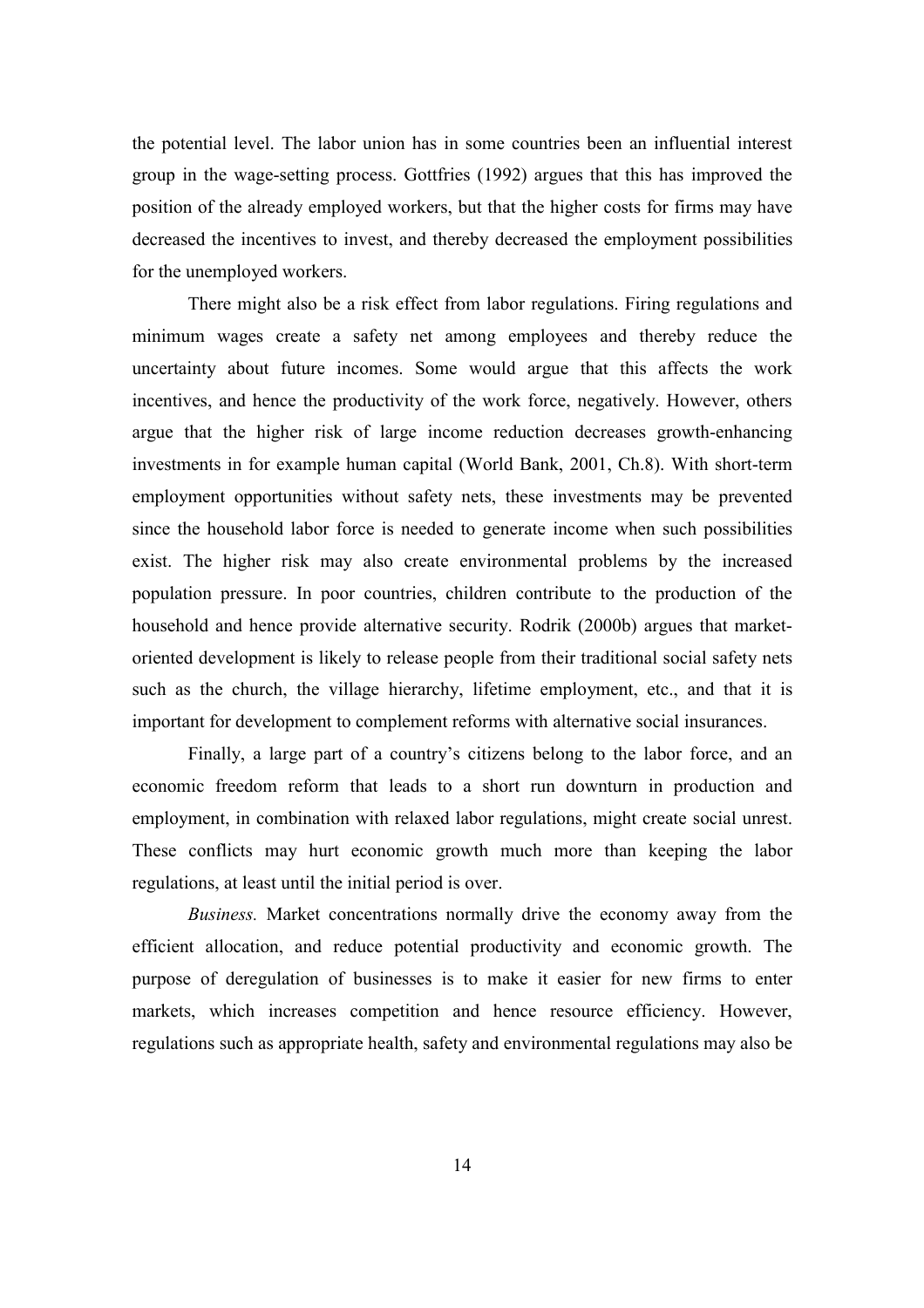the potential level. The labor union has in some countries been an influential interest group in the wage-setting process. Gottfries (1992) argues that this has improved the position of the already employed workers, but that the higher costs for firms may have decreased the incentives to invest, and thereby decreased the employment possibilities for the unemployed workers.

There might also be a risk effect from labor regulations. Firing regulations and minimum wages create a safety net among employees and thereby reduce the uncertainty about future incomes. Some would argue that this affects the work incentives, and hence the productivity of the work force, negatively. However, others argue that the higher risk of large income reduction decreases growth-enhancing investments in for example human capital (World Bank, 2001, Ch.8). With short-term employment opportunities without safety nets, these investments may be prevented since the household labor force is needed to generate income when such possibilities exist. The higher risk may also create environmental problems by the increased population pressure. In poor countries, children contribute to the production of the household and hence provide alternative security. Rodrik (2000b) argues that marketoriented development is likely to release people from their traditional social safety nets such as the church, the village hierarchy, lifetime employment, etc., and that it is important for development to complement reforms with alternative social insurances.

Finally, a large part of a country's citizens belong to the labor force, and an economic freedom reform that leads to a short run downturn in production and employment, in combination with relaxed labor regulations, might create social unrest. These conflicts may hurt economic growth much more than keeping the labor regulations, at least until the initial period is over.

*Business.* Market concentrations normally drive the economy away from the efficient allocation, and reduce potential productivity and economic growth. The purpose of deregulation of businesses is to make it easier for new firms to enter markets, which increases competition and hence resource efficiency. However, regulations such as appropriate health, safety and environmental regulations may also be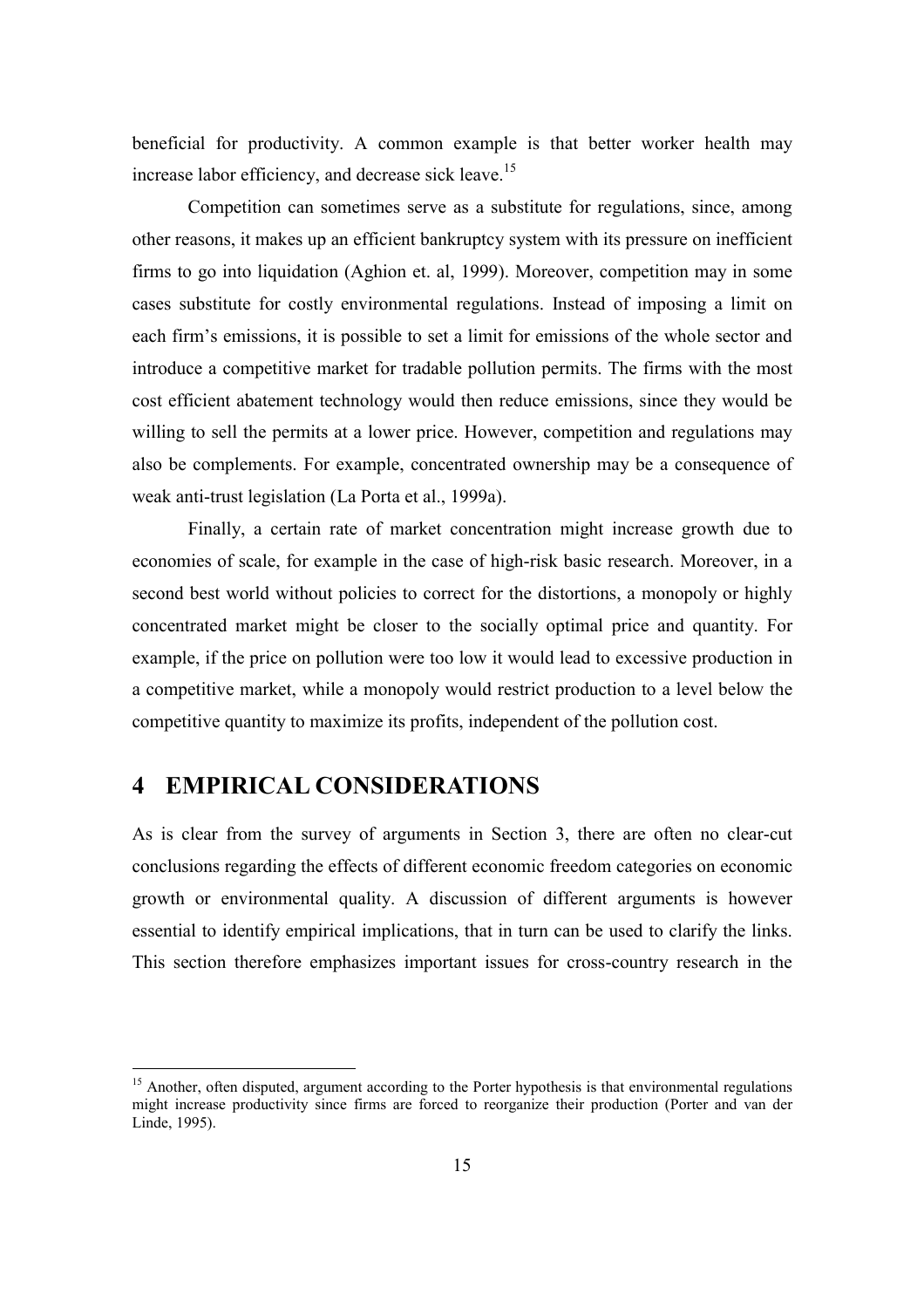beneficial for productivity. A common example is that better worker health may increase labor efficiency, and decrease sick leave.<sup>15</sup>

Competition can sometimes serve as a substitute for regulations, since, among other reasons, it makes up an efficient bankruptcy system with its pressure on inefficient firms to go into liquidation (Aghion et. al, 1999). Moreover, competition may in some cases substitute for costly environmental regulations. Instead of imposing a limit on each firm's emissions, it is possible to set a limit for emissions of the whole sector and introduce a competitive market for tradable pollution permits. The firms with the most cost efficient abatement technology would then reduce emissions, since they would be willing to sell the permits at a lower price. However, competition and regulations may also be complements. For example, concentrated ownership may be a consequence of weak anti-trust legislation (La Porta et al., 1999a).

Finally, a certain rate of market concentration might increase growth due to economies of scale, for example in the case of high-risk basic research. Moreover, in a second best world without policies to correct for the distortions, a monopoly or highly concentrated market might be closer to the socially optimal price and quantity. For example, if the price on pollution were too low it would lead to excessive production in a competitive market, while a monopoly would restrict production to a level below the competitive quantity to maximize its profits, independent of the pollution cost.

## **4 EMPIRICAL CONSIDERATIONS**

 $\overline{a}$ 

As is clear from the survey of arguments in Section 3, there are often no clear-cut conclusions regarding the effects of different economic freedom categories on economic growth or environmental quality. A discussion of different arguments is however essential to identify empirical implications, that in turn can be used to clarify the links. This section therefore emphasizes important issues for cross-country research in the

<sup>&</sup>lt;sup>15</sup> Another, often disputed, argument according to the Porter hypothesis is that environmental regulations might increase productivity since firms are forced to reorganize their production (Porter and van der Linde, 1995).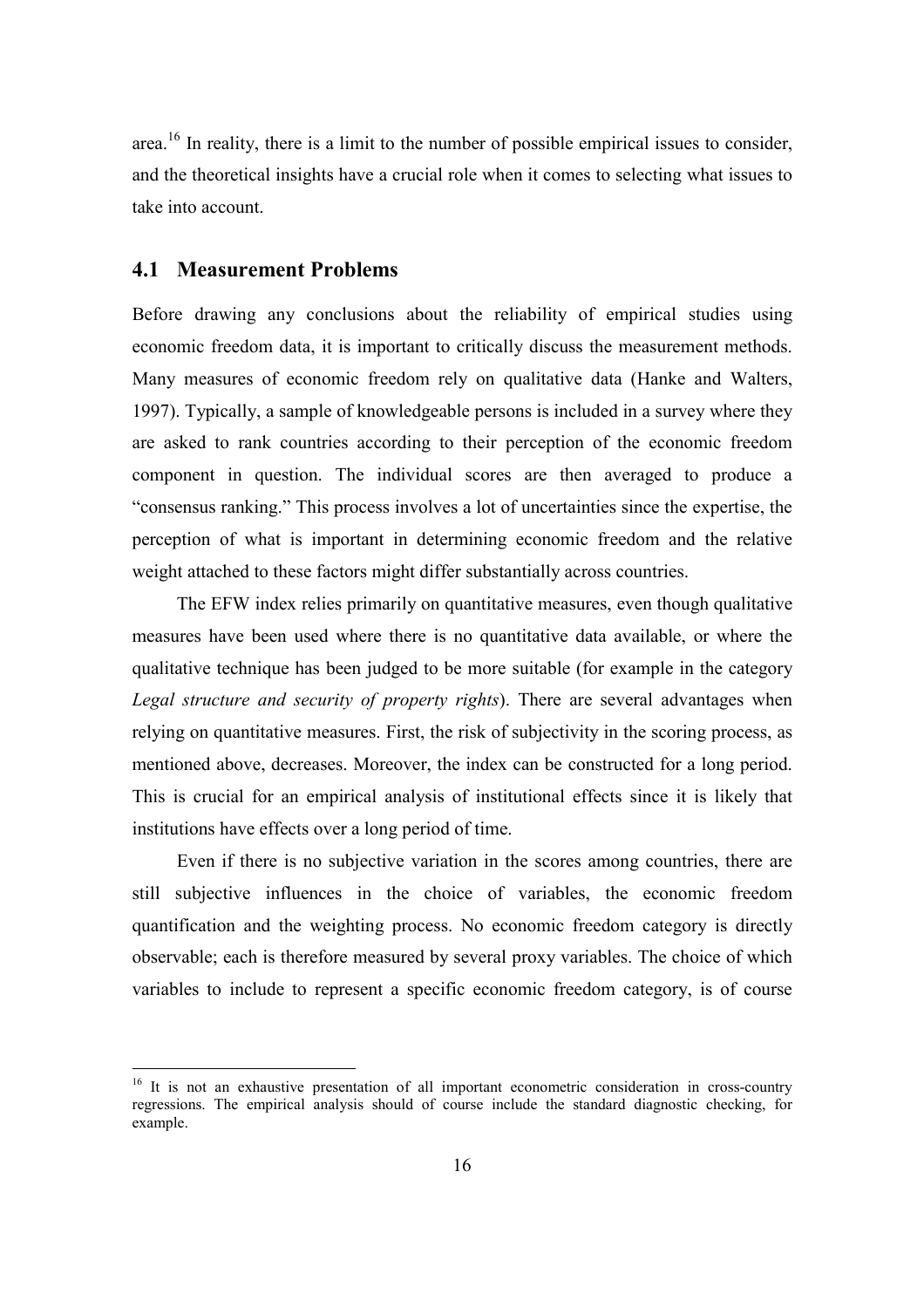area.<sup>16</sup> In reality, there is a limit to the number of possible empirical issues to consider, and the theoretical insights have a crucial role when it comes to selecting what issues to take into account.

## **4.1 Measurement Problems**

 $\overline{a}$ 

Before drawing any conclusions about the reliability of empirical studies using economic freedom data, it is important to critically discuss the measurement methods. Many measures of economic freedom rely on qualitative data (Hanke and Walters, 1997). Typically, a sample of knowledgeable persons is included in a survey where they are asked to rank countries according to their perception of the economic freedom component in question. The individual scores are then averaged to produce a "consensus ranking." This process involves a lot of uncertainties since the expertise, the perception of what is important in determining economic freedom and the relative weight attached to these factors might differ substantially across countries.

The EFW index relies primarily on quantitative measures, even though qualitative measures have been used where there is no quantitative data available, or where the qualitative technique has been judged to be more suitable (for example in the category *Legal structure and security of property rights*). There are several advantages when relying on quantitative measures. First, the risk of subjectivity in the scoring process, as mentioned above, decreases. Moreover, the index can be constructed for a long period. This is crucial for an empirical analysis of institutional effects since it is likely that institutions have effects over a long period of time.

Even if there is no subjective variation in the scores among countries, there are still subjective influences in the choice of variables, the economic freedom quantification and the weighting process. No economic freedom category is directly observable; each is therefore measured by several proxy variables. The choice of which variables to include to represent a specific economic freedom category, is of course

<sup>&</sup>lt;sup>16</sup> It is not an exhaustive presentation of all important econometric consideration in cross-country regressions. The empirical analysis should of course include the standard diagnostic checking, for example.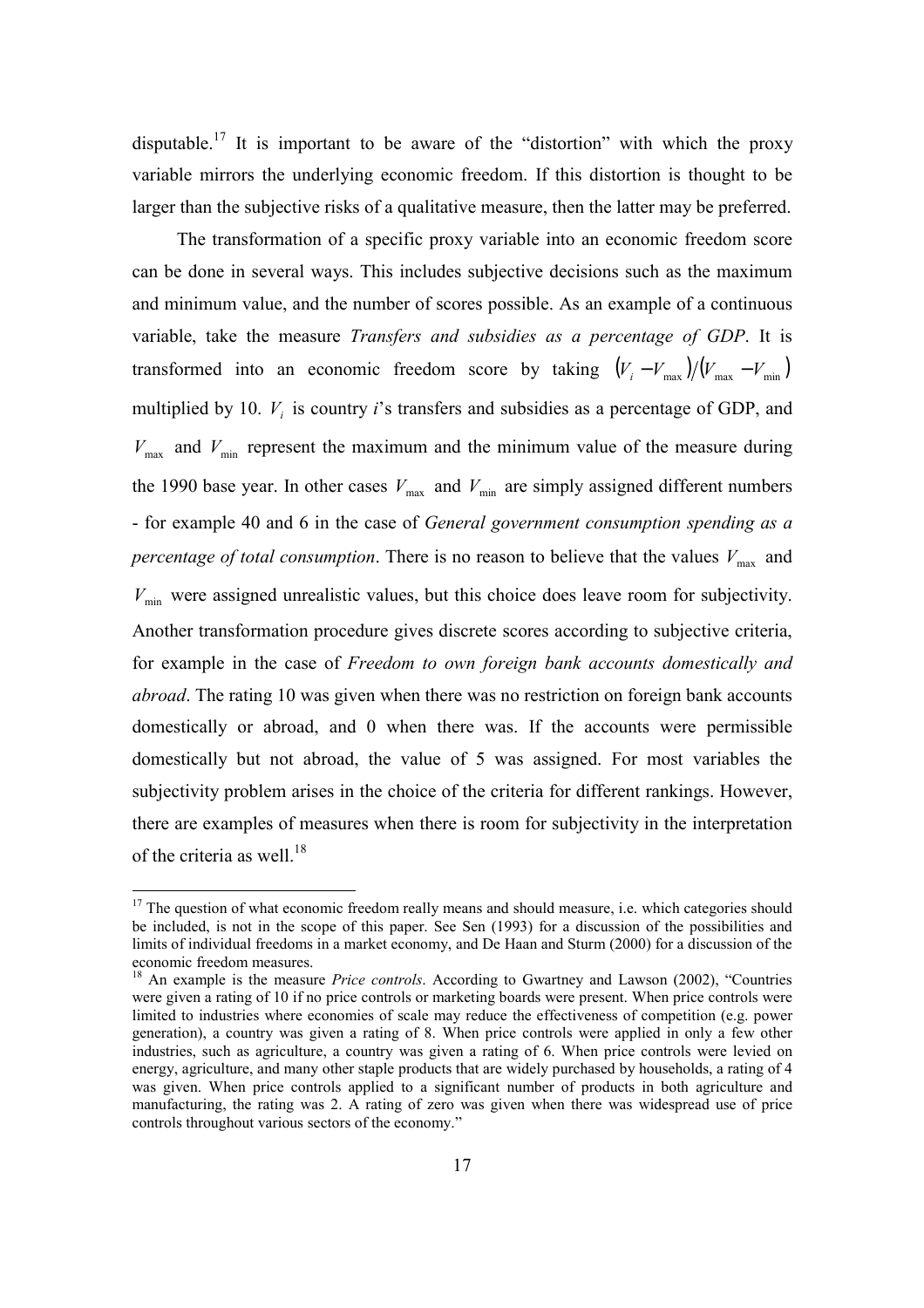disputable.<sup>17</sup> It is important to be aware of the "distortion" with which the proxy variable mirrors the underlying economic freedom. If this distortion is thought to be larger than the subjective risks of a qualitative measure, then the latter may be preferred.

The transformation of a specific proxy variable into an economic freedom score can be done in several ways. This includes subjective decisions such as the maximum and minimum value, and the number of scores possible. As an example of a continuous variable, take the measure *Transfers and subsidies as a percentage of GDP*. It is transformed into an economic freedom score by taking  $(V_i - V_{max})/(V_{max} - V_{min})$ multiplied by 10.  $V_i$  is country *i*'s transfers and subsidies as a percentage of GDP, and  $V_{\text{max}}$  and  $V_{\text{min}}$  represent the maximum and the minimum value of the measure during the 1990 base year. In other cases  $V_{\text{max}}$  and  $V_{\text{min}}$  are simply assigned different numbers - for example 40 and 6 in the case of *General government consumption spending as a percentage of total consumption*. There is no reason to believe that the values  $V_{\text{max}}$  and  $V_{\text{min}}$  were assigned unrealistic values, but this choice does leave room for subjectivity. Another transformation procedure gives discrete scores according to subjective criteria, for example in the case of *Freedom to own foreign bank accounts domestically and abroad*. The rating 10 was given when there was no restriction on foreign bank accounts domestically or abroad, and 0 when there was. If the accounts were permissible domestically but not abroad, the value of 5 was assigned. For most variables the subjectivity problem arises in the choice of the criteria for different rankings. However, there are examples of measures when there is room for subjectivity in the interpretation of the criteria as well.<sup>18</sup>

 $17$  The question of what economic freedom really means and should measure, i.e. which categories should be included, is not in the scope of this paper. See Sen (1993) for a discussion of the possibilities and limits of individual freedoms in a market economy, and De Haan and Sturm (2000) for a discussion of the economic freedom measures.

<sup>&</sup>lt;sup>18</sup> An example is the measure *Price controls*. According to Gwartney and Lawson (2002), "Countries were given a rating of 10 if no price controls or marketing boards were present. When price controls were limited to industries where economies of scale may reduce the effectiveness of competition (e.g. power generation), a country was given a rating of 8. When price controls were applied in only a few other industries, such as agriculture, a country was given a rating of 6. When price controls were levied on energy, agriculture, and many other staple products that are widely purchased by households, a rating of 4 was given. When price controls applied to a significant number of products in both agriculture and manufacturing, the rating was 2. A rating of zero was given when there was widespread use of price controls throughout various sectors of the economy."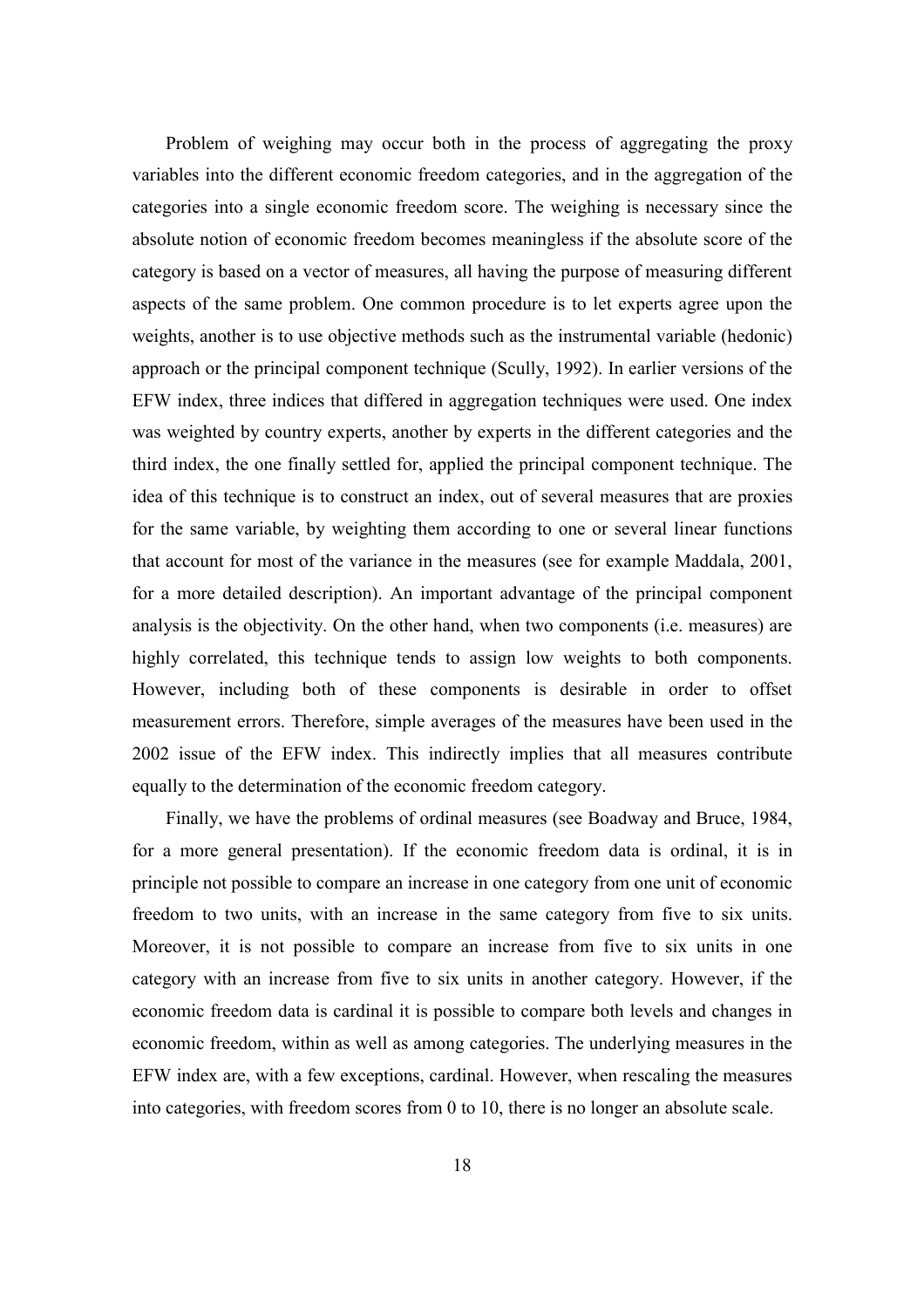Problem of weighing may occur both in the process of aggregating the proxy variables into the different economic freedom categories, and in the aggregation of the categories into a single economic freedom score. The weighing is necessary since the absolute notion of economic freedom becomes meaningless if the absolute score of the category is based on a vector of measures, all having the purpose of measuring different aspects of the same problem. One common procedure is to let experts agree upon the weights, another is to use objective methods such as the instrumental variable (hedonic) approach or the principal component technique (Scully, 1992). In earlier versions of the EFW index, three indices that differed in aggregation techniques were used. One index was weighted by country experts, another by experts in the different categories and the third index, the one finally settled for, applied the principal component technique. The idea of this technique is to construct an index, out of several measures that are proxies for the same variable, by weighting them according to one or several linear functions that account for most of the variance in the measures (see for example Maddala, 2001, for a more detailed description). An important advantage of the principal component analysis is the objectivity. On the other hand, when two components (i.e. measures) are highly correlated, this technique tends to assign low weights to both components. However, including both of these components is desirable in order to offset measurement errors. Therefore, simple averages of the measures have been used in the 2002 issue of the EFW index. This indirectly implies that all measures contribute equally to the determination of the economic freedom category.

Finally, we have the problems of ordinal measures (see Boadway and Bruce, 1984, for a more general presentation). If the economic freedom data is ordinal, it is in principle not possible to compare an increase in one category from one unit of economic freedom to two units, with an increase in the same category from five to six units. Moreover, it is not possible to compare an increase from five to six units in one category with an increase from five to six units in another category. However, if the economic freedom data is cardinal it is possible to compare both levels and changes in economic freedom, within as well as among categories. The underlying measures in the EFW index are, with a few exceptions, cardinal. However, when rescaling the measures into categories, with freedom scores from 0 to 10, there is no longer an absolute scale.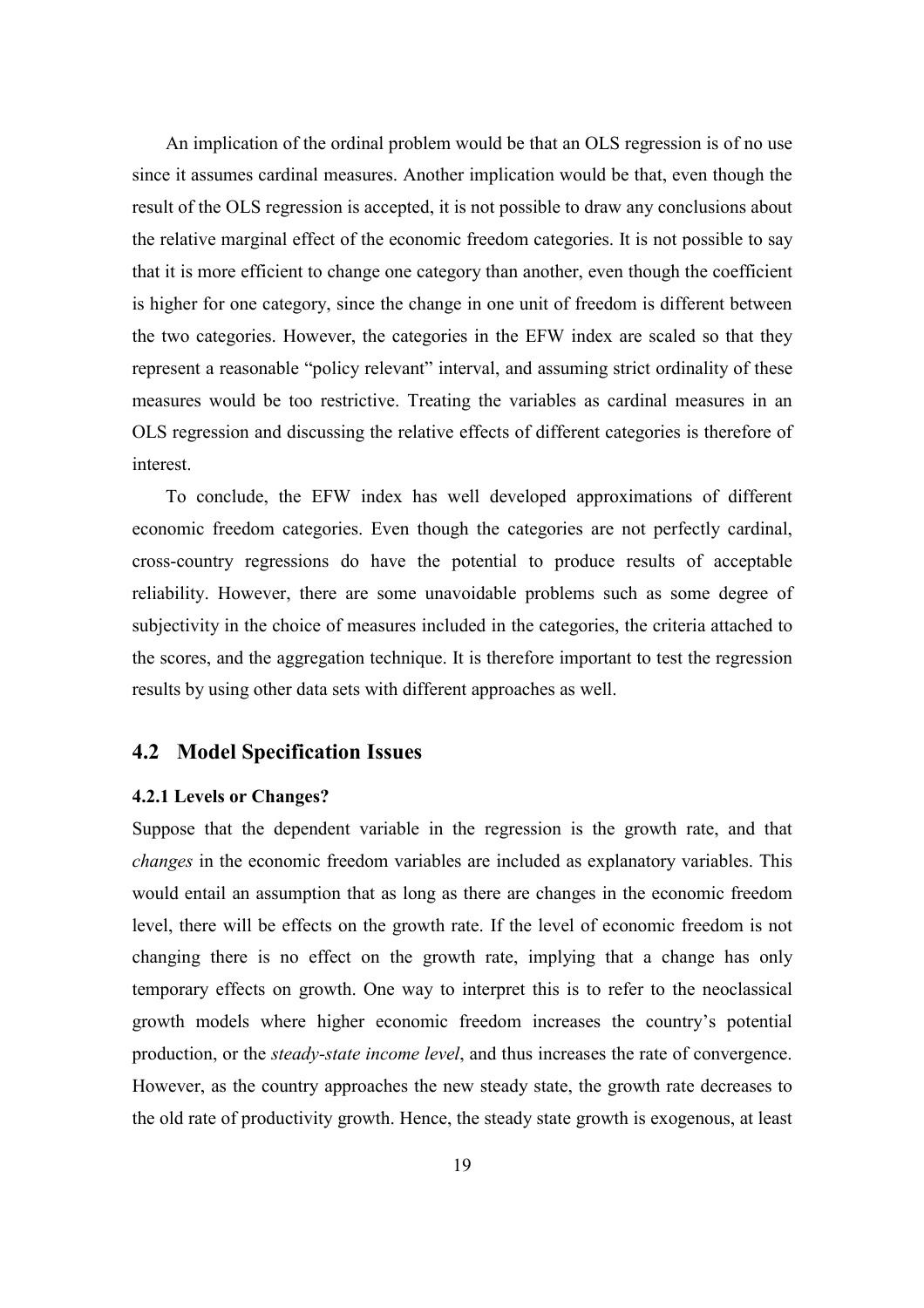An implication of the ordinal problem would be that an OLS regression is of no use since it assumes cardinal measures. Another implication would be that, even though the result of the OLS regression is accepted, it is not possible to draw any conclusions about the relative marginal effect of the economic freedom categories. It is not possible to say that it is more efficient to change one category than another, even though the coefficient is higher for one category, since the change in one unit of freedom is different between the two categories. However, the categories in the EFW index are scaled so that they represent a reasonable "policy relevant" interval, and assuming strict ordinality of these measures would be too restrictive. Treating the variables as cardinal measures in an OLS regression and discussing the relative effects of different categories is therefore of interest.

To conclude, the EFW index has well developed approximations of different economic freedom categories. Even though the categories are not perfectly cardinal, cross-country regressions do have the potential to produce results of acceptable reliability. However, there are some unavoidable problems such as some degree of subjectivity in the choice of measures included in the categories, the criteria attached to the scores, and the aggregation technique. It is therefore important to test the regression results by using other data sets with different approaches as well.

## **4.2 Model Specification Issues**

### **4.2.1 Levels or Changes?**

Suppose that the dependent variable in the regression is the growth rate, and that *changes* in the economic freedom variables are included as explanatory variables. This would entail an assumption that as long as there are changes in the economic freedom level, there will be effects on the growth rate. If the level of economic freedom is not changing there is no effect on the growth rate, implying that a change has only temporary effects on growth. One way to interpret this is to refer to the neoclassical growth models where higher economic freedom increases the country's potential production, or the *steady-state income level*, and thus increases the rate of convergence. However, as the country approaches the new steady state, the growth rate decreases to the old rate of productivity growth. Hence, the steady state growth is exogenous, at least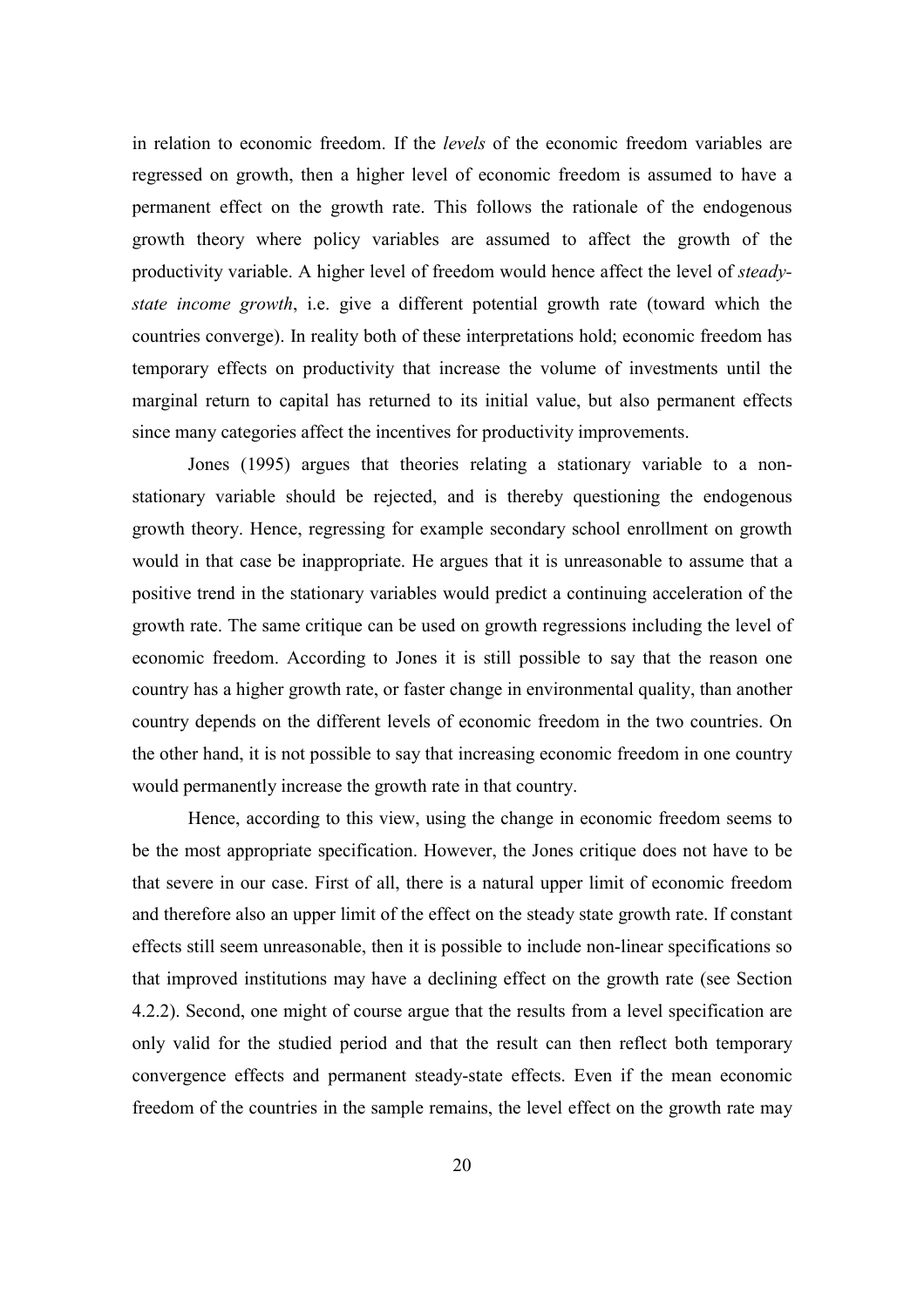in relation to economic freedom. If the *levels* of the economic freedom variables are regressed on growth, then a higher level of economic freedom is assumed to have a permanent effect on the growth rate. This follows the rationale of the endogenous growth theory where policy variables are assumed to affect the growth of the productivity variable. A higher level of freedom would hence affect the level of *steadystate income growth*, i.e. give a different potential growth rate (toward which the countries converge). In reality both of these interpretations hold; economic freedom has temporary effects on productivity that increase the volume of investments until the marginal return to capital has returned to its initial value, but also permanent effects since many categories affect the incentives for productivity improvements.

Jones (1995) argues that theories relating a stationary variable to a nonstationary variable should be rejected, and is thereby questioning the endogenous growth theory. Hence, regressing for example secondary school enrollment on growth would in that case be inappropriate. He argues that it is unreasonable to assume that a positive trend in the stationary variables would predict a continuing acceleration of the growth rate. The same critique can be used on growth regressions including the level of economic freedom. According to Jones it is still possible to say that the reason one country has a higher growth rate, or faster change in environmental quality, than another country depends on the different levels of economic freedom in the two countries. On the other hand, it is not possible to say that increasing economic freedom in one country would permanently increase the growth rate in that country.

 Hence, according to this view, using the change in economic freedom seems to be the most appropriate specification. However, the Jones critique does not have to be that severe in our case. First of all, there is a natural upper limit of economic freedom and therefore also an upper limit of the effect on the steady state growth rate. If constant effects still seem unreasonable, then it is possible to include non-linear specifications so that improved institutions may have a declining effect on the growth rate (see Section 4.2.2). Second, one might of course argue that the results from a level specification are only valid for the studied period and that the result can then reflect both temporary convergence effects and permanent steady-state effects. Even if the mean economic freedom of the countries in the sample remains, the level effect on the growth rate may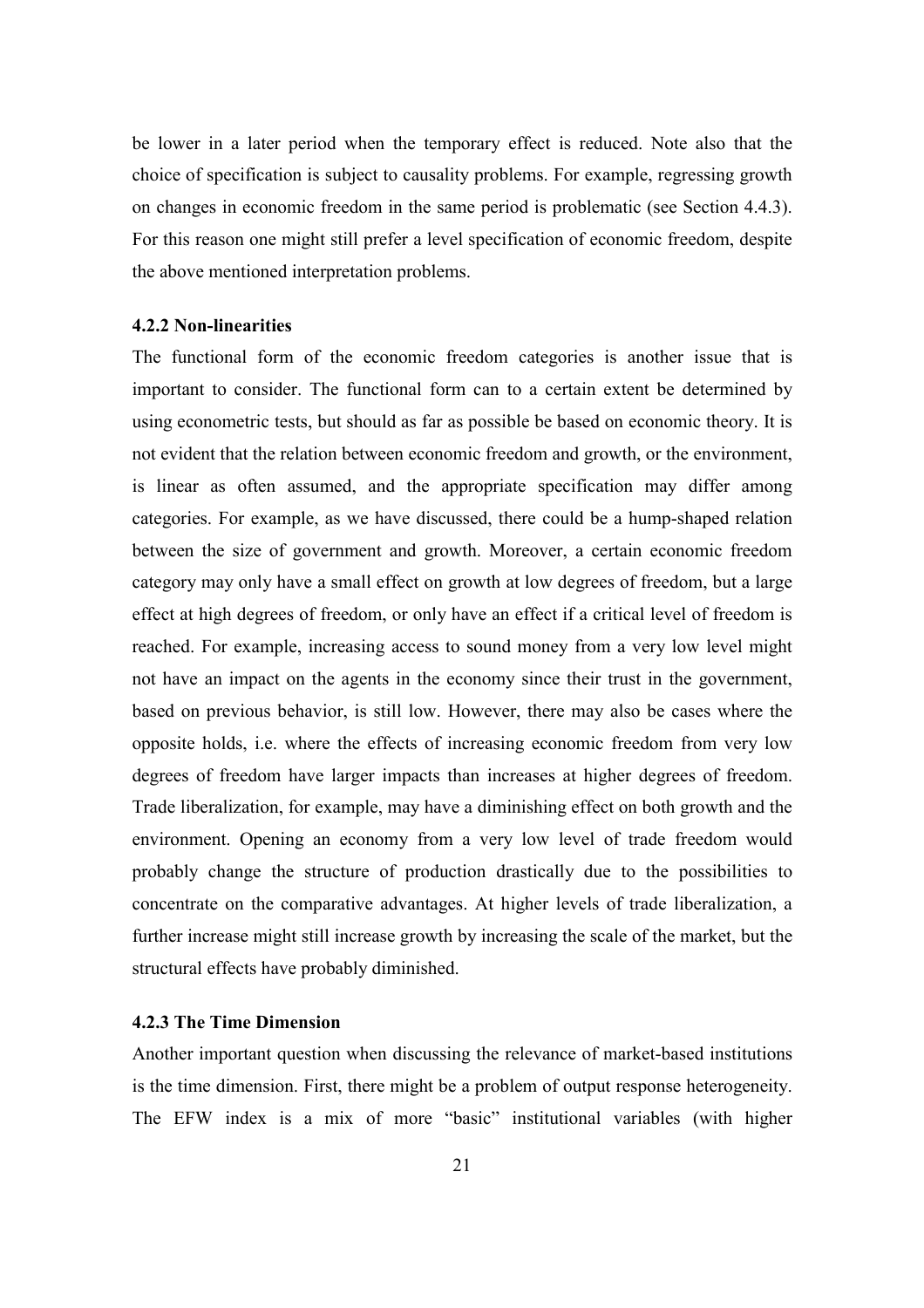be lower in a later period when the temporary effect is reduced. Note also that the choice of specification is subject to causality problems. For example, regressing growth on changes in economic freedom in the same period is problematic (see Section 4.4.3). For this reason one might still prefer a level specification of economic freedom, despite the above mentioned interpretation problems.

#### **4.2.2 Non-linearities**

The functional form of the economic freedom categories is another issue that is important to consider. The functional form can to a certain extent be determined by using econometric tests, but should as far as possible be based on economic theory. It is not evident that the relation between economic freedom and growth, or the environment, is linear as often assumed, and the appropriate specification may differ among categories. For example, as we have discussed, there could be a hump-shaped relation between the size of government and growth. Moreover, a certain economic freedom category may only have a small effect on growth at low degrees of freedom, but a large effect at high degrees of freedom, or only have an effect if a critical level of freedom is reached. For example, increasing access to sound money from a very low level might not have an impact on the agents in the economy since their trust in the government, based on previous behavior, is still low. However, there may also be cases where the opposite holds, i.e. where the effects of increasing economic freedom from very low degrees of freedom have larger impacts than increases at higher degrees of freedom. Trade liberalization, for example, may have a diminishing effect on both growth and the environment. Opening an economy from a very low level of trade freedom would probably change the structure of production drastically due to the possibilities to concentrate on the comparative advantages. At higher levels of trade liberalization, a further increase might still increase growth by increasing the scale of the market, but the structural effects have probably diminished.

### **4.2.3 The Time Dimension**

Another important question when discussing the relevance of market-based institutions is the time dimension. First, there might be a problem of output response heterogeneity. The EFW index is a mix of more "basic" institutional variables (with higher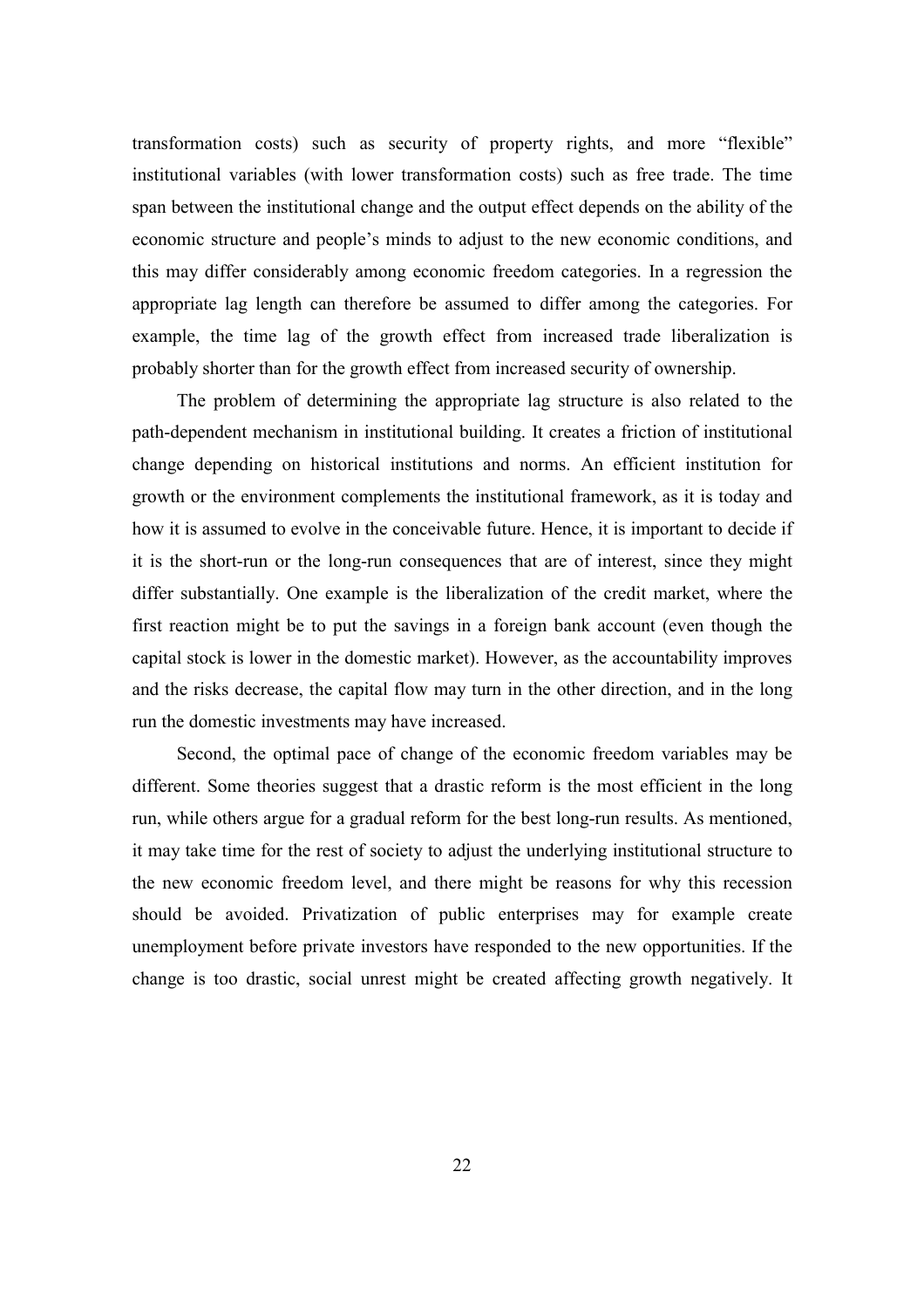transformation costs) such as security of property rights, and more "flexible" institutional variables (with lower transformation costs) such as free trade. The time span between the institutional change and the output effect depends on the ability of the economic structure and people's minds to adjust to the new economic conditions, and this may differ considerably among economic freedom categories. In a regression the appropriate lag length can therefore be assumed to differ among the categories. For example, the time lag of the growth effect from increased trade liberalization is probably shorter than for the growth effect from increased security of ownership.

The problem of determining the appropriate lag structure is also related to the path-dependent mechanism in institutional building. It creates a friction of institutional change depending on historical institutions and norms. An efficient institution for growth or the environment complements the institutional framework, as it is today and how it is assumed to evolve in the conceivable future. Hence, it is important to decide if it is the short-run or the long-run consequences that are of interest, since they might differ substantially. One example is the liberalization of the credit market, where the first reaction might be to put the savings in a foreign bank account (even though the capital stock is lower in the domestic market). However, as the accountability improves and the risks decrease, the capital flow may turn in the other direction, and in the long run the domestic investments may have increased.

Second, the optimal pace of change of the economic freedom variables may be different. Some theories suggest that a drastic reform is the most efficient in the long run, while others argue for a gradual reform for the best long-run results. As mentioned, it may take time for the rest of society to adjust the underlying institutional structure to the new economic freedom level, and there might be reasons for why this recession should be avoided. Privatization of public enterprises may for example create unemployment before private investors have responded to the new opportunities. If the change is too drastic, social unrest might be created affecting growth negatively. It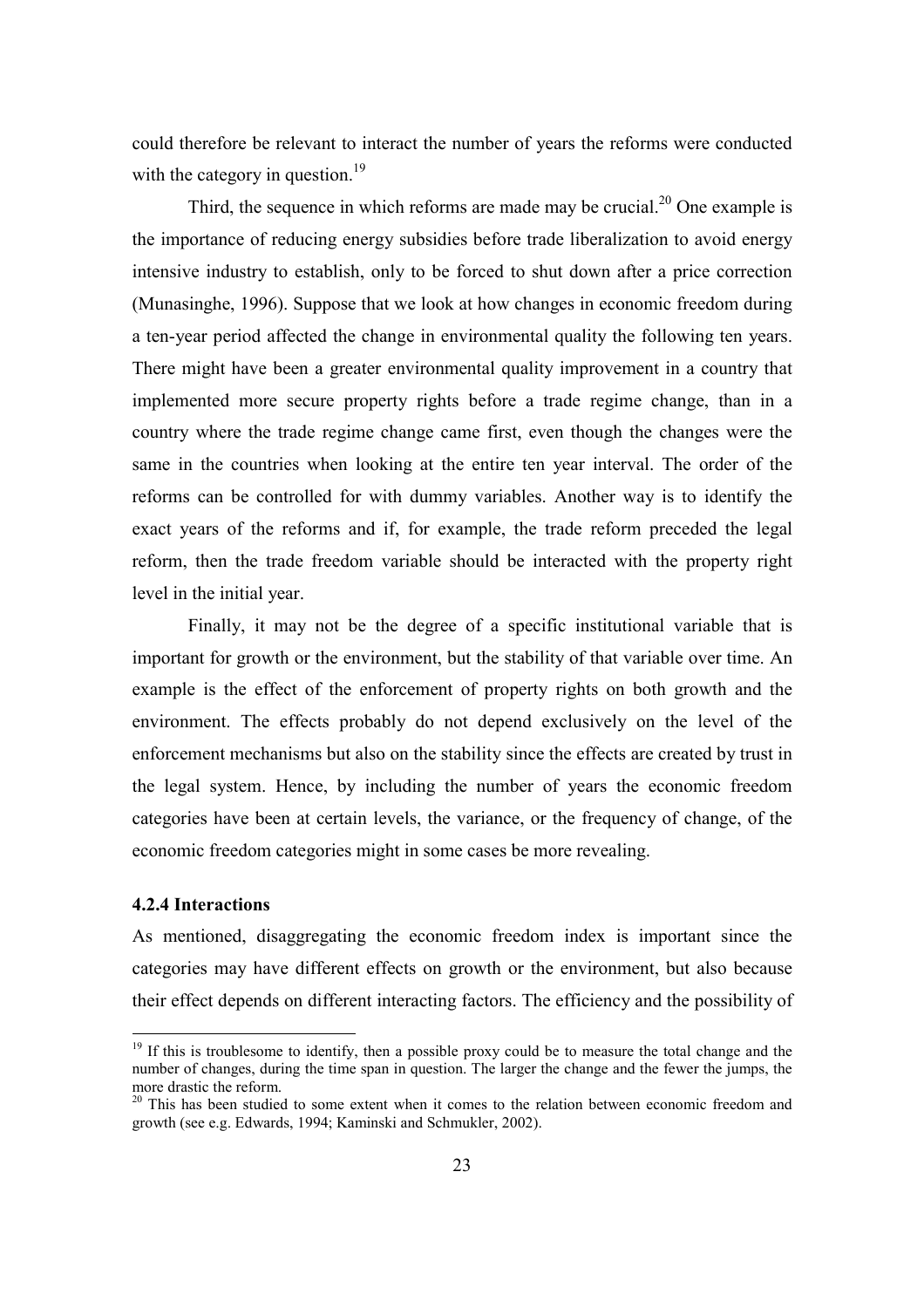could therefore be relevant to interact the number of years the reforms were conducted with the category in question. $19$ 

Third, the sequence in which reforms are made may be crucial. $^{20}$  One example is the importance of reducing energy subsidies before trade liberalization to avoid energy intensive industry to establish, only to be forced to shut down after a price correction (Munasinghe, 1996). Suppose that we look at how changes in economic freedom during a ten-year period affected the change in environmental quality the following ten years. There might have been a greater environmental quality improvement in a country that implemented more secure property rights before a trade regime change, than in a country where the trade regime change came first, even though the changes were the same in the countries when looking at the entire ten year interval. The order of the reforms can be controlled for with dummy variables. Another way is to identify the exact years of the reforms and if, for example, the trade reform preceded the legal reform, then the trade freedom variable should be interacted with the property right level in the initial year.

 Finally, it may not be the degree of a specific institutional variable that is important for growth or the environment, but the stability of that variable over time. An example is the effect of the enforcement of property rights on both growth and the environment. The effects probably do not depend exclusively on the level of the enforcement mechanisms but also on the stability since the effects are created by trust in the legal system. Hence, by including the number of years the economic freedom categories have been at certain levels, the variance, or the frequency of change, of the economic freedom categories might in some cases be more revealing.

### **4.2.4 Interactions**

 $\overline{a}$ 

As mentioned, disaggregating the economic freedom index is important since the categories may have different effects on growth or the environment, but also because their effect depends on different interacting factors. The efficiency and the possibility of

 $19$  If this is troublesome to identify, then a possible proxy could be to measure the total change and the number of changes, during the time span in question. The larger the change and the fewer the jumps, the more drastic the reform.

 $20$  This has been studied to some extent when it comes to the relation between economic freedom and growth (see e.g. Edwards, 1994; Kaminski and Schmukler, 2002).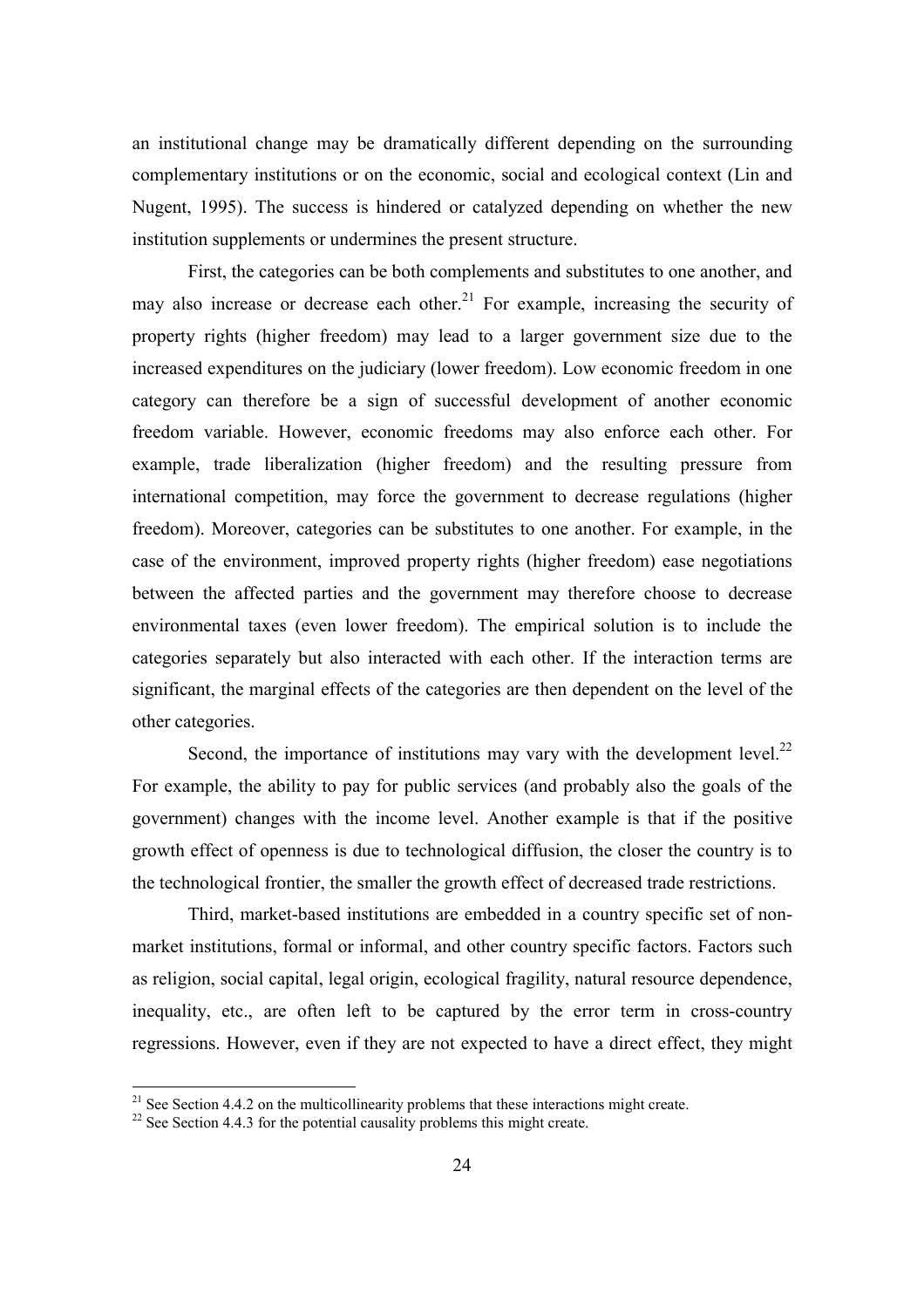an institutional change may be dramatically different depending on the surrounding complementary institutions or on the economic, social and ecological context (Lin and Nugent, 1995). The success is hindered or catalyzed depending on whether the new institution supplements or undermines the present structure.

First, the categories can be both complements and substitutes to one another, and may also increase or decrease each other.<sup>21</sup> For example, increasing the security of property rights (higher freedom) may lead to a larger government size due to the increased expenditures on the judiciary (lower freedom). Low economic freedom in one category can therefore be a sign of successful development of another economic freedom variable. However, economic freedoms may also enforce each other. For example, trade liberalization (higher freedom) and the resulting pressure from international competition, may force the government to decrease regulations (higher freedom). Moreover, categories can be substitutes to one another. For example, in the case of the environment, improved property rights (higher freedom) ease negotiations between the affected parties and the government may therefore choose to decrease environmental taxes (even lower freedom). The empirical solution is to include the categories separately but also interacted with each other. If the interaction terms are significant, the marginal effects of the categories are then dependent on the level of the other categories.

Second, the importance of institutions may vary with the development level. $^{22}$ For example, the ability to pay for public services (and probably also the goals of the government) changes with the income level. Another example is that if the positive growth effect of openness is due to technological diffusion, the closer the country is to the technological frontier, the smaller the growth effect of decreased trade restrictions.

Third, market-based institutions are embedded in a country specific set of nonmarket institutions, formal or informal, and other country specific factors. Factors such as religion, social capital, legal origin, ecological fragility, natural resource dependence, inequality, etc., are often left to be captured by the error term in cross-country regressions. However, even if they are not expected to have a direct effect, they might

 $21$  See Section 4.4.2 on the multicollinearity problems that these interactions might create.

 $^{22}$  See Section 4.4.3 for the potential causality problems this might create.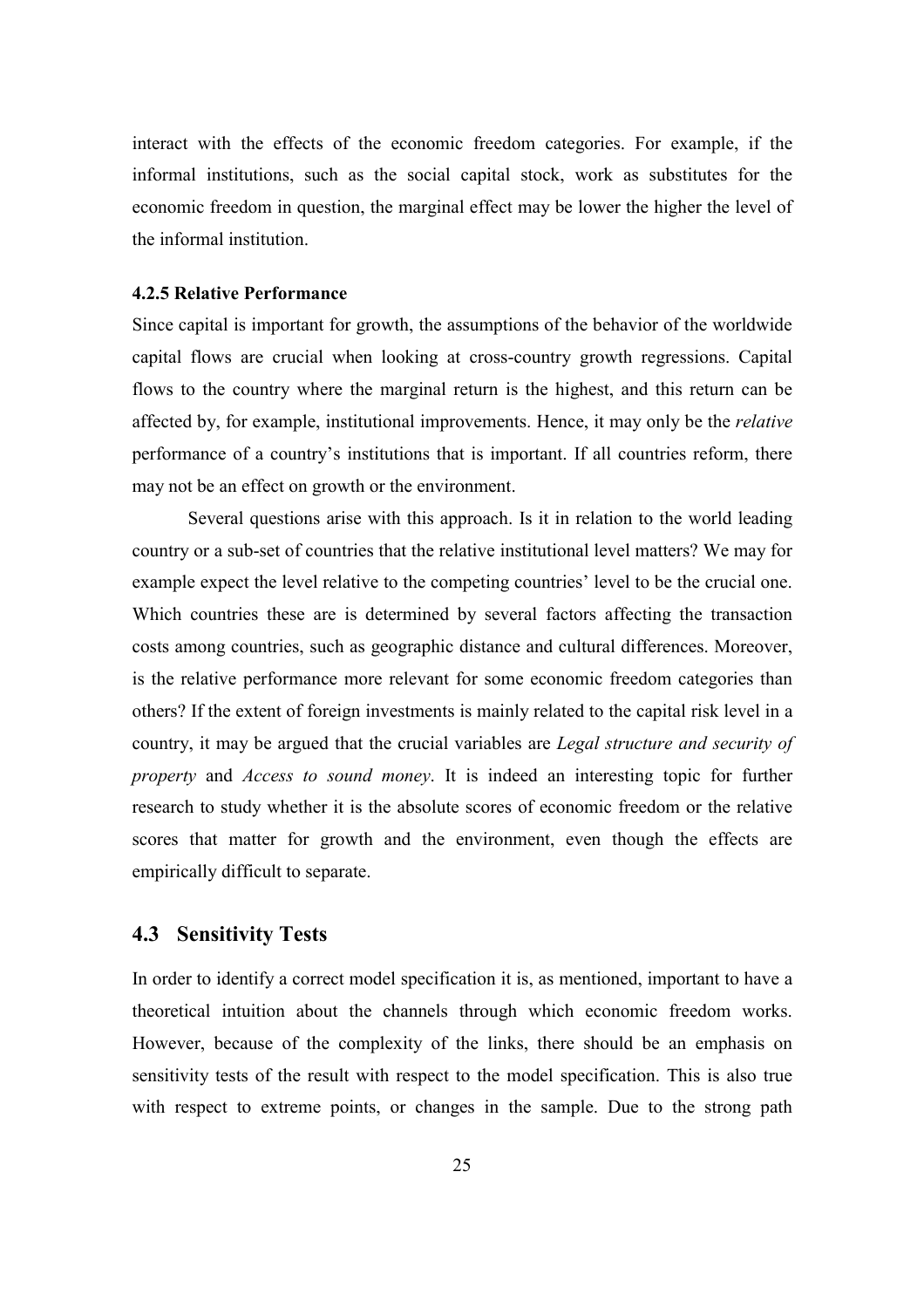interact with the effects of the economic freedom categories. For example, if the informal institutions, such as the social capital stock, work as substitutes for the economic freedom in question, the marginal effect may be lower the higher the level of the informal institution.

#### **4.2.5 Relative Performance**

Since capital is important for growth, the assumptions of the behavior of the worldwide capital flows are crucial when looking at cross-country growth regressions. Capital flows to the country where the marginal return is the highest, and this return can be affected by, for example, institutional improvements. Hence, it may only be the *relative* performance of a country's institutions that is important. If all countries reform, there may not be an effect on growth or the environment.

 Several questions arise with this approach. Is it in relation to the world leading country or a sub-set of countries that the relative institutional level matters? We may for example expect the level relative to the competing countries' level to be the crucial one. Which countries these are is determined by several factors affecting the transaction costs among countries, such as geographic distance and cultural differences. Moreover, is the relative performance more relevant for some economic freedom categories than others? If the extent of foreign investments is mainly related to the capital risk level in a country, it may be argued that the crucial variables are *Legal structure and security of property* and *Access to sound money*. It is indeed an interesting topic for further research to study whether it is the absolute scores of economic freedom or the relative scores that matter for growth and the environment, even though the effects are empirically difficult to separate.

## **4.3 Sensitivity Tests**

In order to identify a correct model specification it is, as mentioned, important to have a theoretical intuition about the channels through which economic freedom works. However, because of the complexity of the links, there should be an emphasis on sensitivity tests of the result with respect to the model specification. This is also true with respect to extreme points, or changes in the sample. Due to the strong path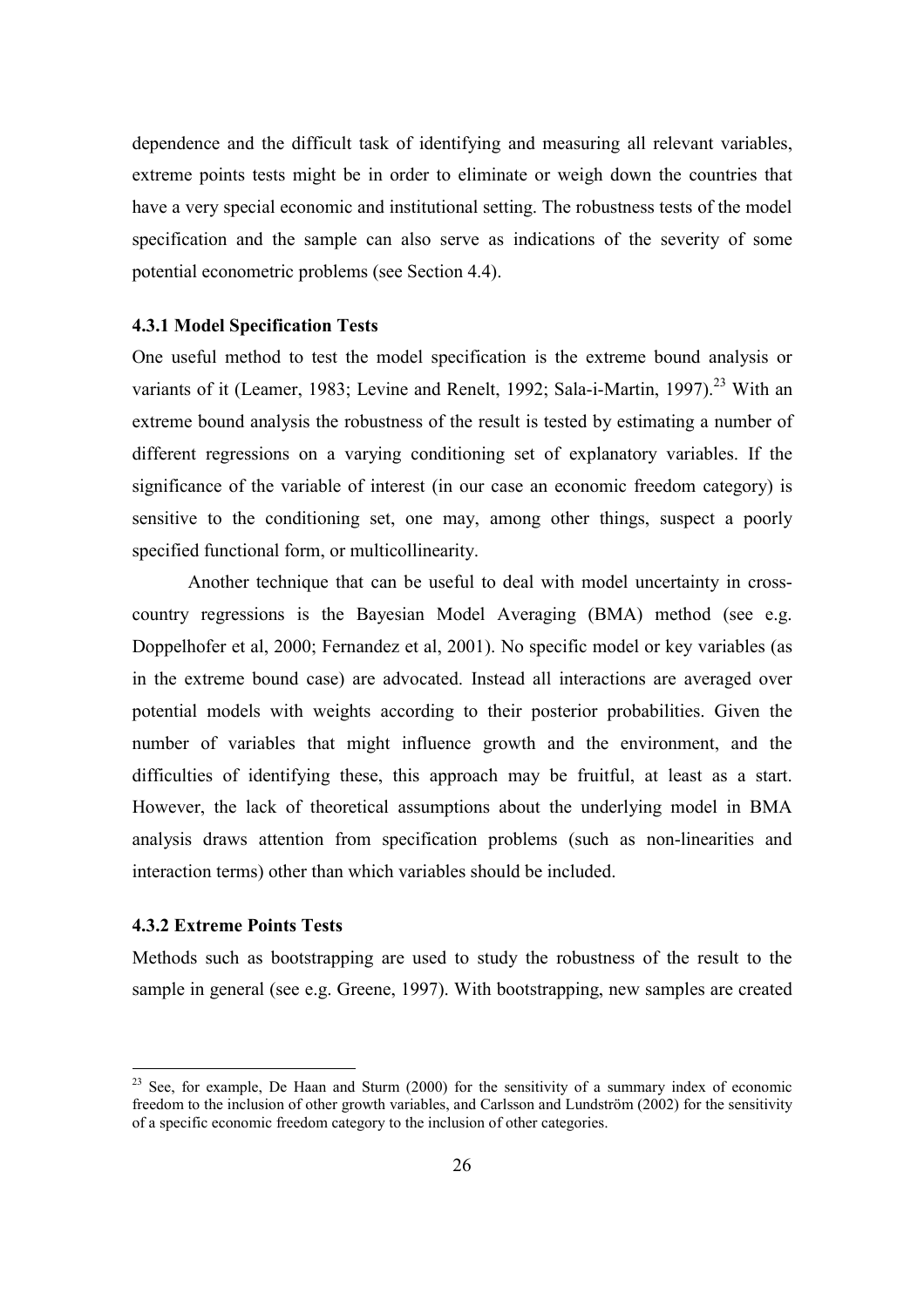dependence and the difficult task of identifying and measuring all relevant variables, extreme points tests might be in order to eliminate or weigh down the countries that have a very special economic and institutional setting. The robustness tests of the model specification and the sample can also serve as indications of the severity of some potential econometric problems (see Section 4.4).

### **4.3.1 Model Specification Tests**

One useful method to test the model specification is the extreme bound analysis or variants of it (Leamer, 1983; Levine and Renelt, 1992; Sala-i-Martin, 1997).<sup>23</sup> With an extreme bound analysis the robustness of the result is tested by estimating a number of different regressions on a varying conditioning set of explanatory variables. If the significance of the variable of interest (in our case an economic freedom category) is sensitive to the conditioning set, one may, among other things, suspect a poorly specified functional form, or multicollinearity.

Another technique that can be useful to deal with model uncertainty in crosscountry regressions is the Bayesian Model Averaging (BMA) method (see e.g. Doppelhofer et al, 2000; Fernandez et al, 2001). No specific model or key variables (as in the extreme bound case) are advocated. Instead all interactions are averaged over potential models with weights according to their posterior probabilities. Given the number of variables that might influence growth and the environment, and the difficulties of identifying these, this approach may be fruitful, at least as a start. However, the lack of theoretical assumptions about the underlying model in BMA analysis draws attention from specification problems (such as non-linearities and interaction terms) other than which variables should be included.

## **4.3.2 Extreme Points Tests**

 $\overline{a}$ 

Methods such as bootstrapping are used to study the robustness of the result to the sample in general (see e.g. Greene, 1997). With bootstrapping, new samples are created

 $23$  See, for example, De Haan and Sturm (2000) for the sensitivity of a summary index of economic freedom to the inclusion of other growth variables, and Carlsson and Lundström (2002) for the sensitivity of a specific economic freedom category to the inclusion of other categories.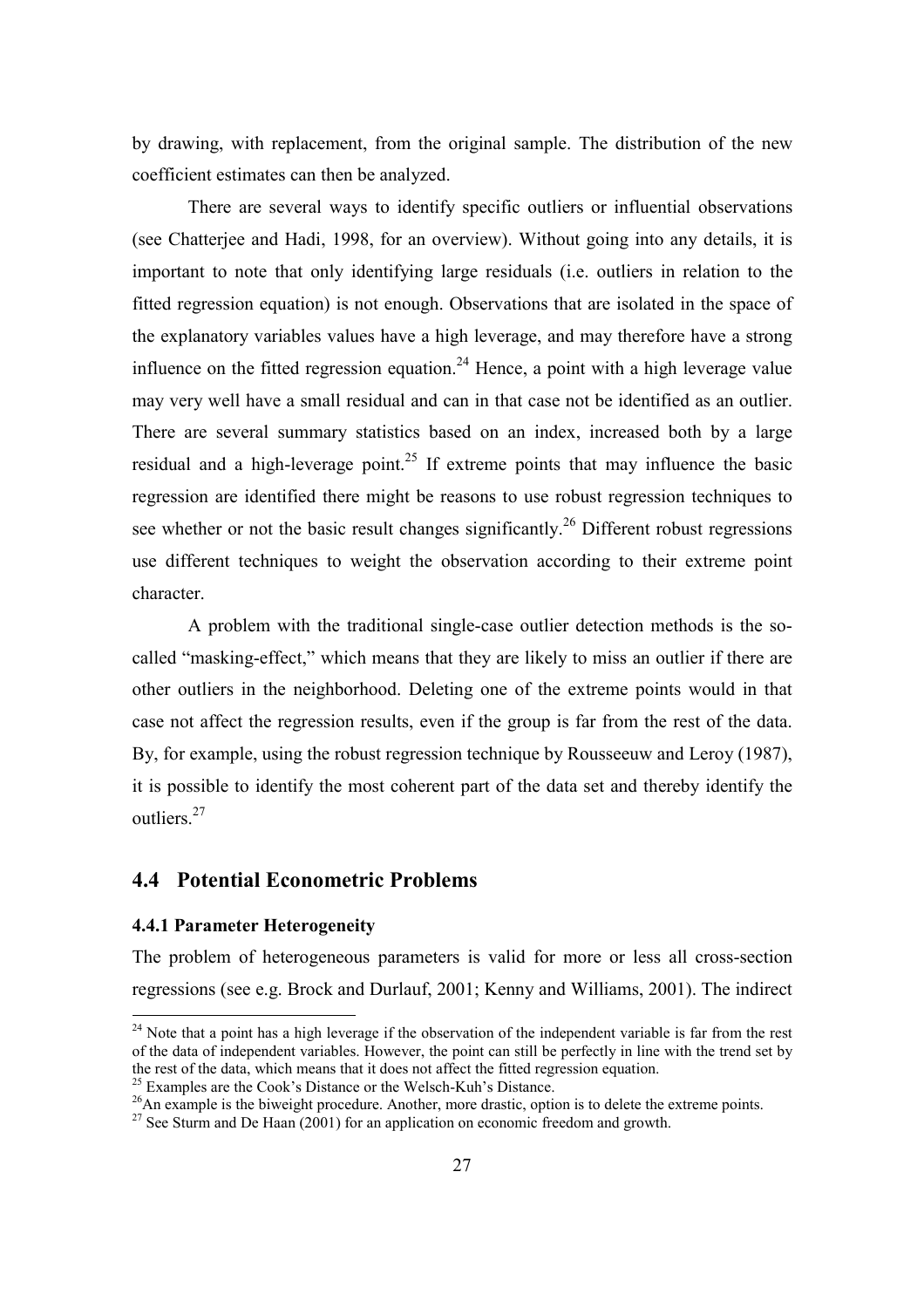by drawing, with replacement, from the original sample. The distribution of the new coefficient estimates can then be analyzed.

There are several ways to identify specific outliers or influential observations (see Chatterjee and Hadi, 1998, for an overview). Without going into any details, it is important to note that only identifying large residuals (i.e. outliers in relation to the fitted regression equation) is not enough. Observations that are isolated in the space of the explanatory variables values have a high leverage, and may therefore have a strong influence on the fitted regression equation.<sup>24</sup> Hence, a point with a high leverage value may very well have a small residual and can in that case not be identified as an outlier. There are several summary statistics based on an index, increased both by a large residual and a high-leverage point.<sup>25</sup> If extreme points that may influence the basic regression are identified there might be reasons to use robust regression techniques to see whether or not the basic result changes significantly.<sup>26</sup> Different robust regressions use different techniques to weight the observation according to their extreme point character.

 A problem with the traditional single-case outlier detection methods is the socalled "masking-effect," which means that they are likely to miss an outlier if there are other outliers in the neighborhood. Deleting one of the extreme points would in that case not affect the regression results, even if the group is far from the rest of the data. By, for example, using the robust regression technique by Rousseeuw and Leroy (1987), it is possible to identify the most coherent part of the data set and thereby identify the outliers.<sup>27</sup>

## **4.4 Potential Econometric Problems**

## **4.4.1 Parameter Heterogeneity**

 $\overline{a}$ 

The problem of heterogeneous parameters is valid for more or less all cross-section regressions (see e.g. Brock and Durlauf, 2001; Kenny and Williams, 2001). The indirect

<sup>&</sup>lt;sup>24</sup> Note that a point has a high leverage if the observation of the independent variable is far from the rest of the data of independent variables. However, the point can still be perfectly in line with the trend set by the rest of the data, which means that it does not affect the fitted regression equation.

<sup>&</sup>lt;sup>25</sup> Examples are the Cook's Distance or the Welsch-Kuh's Distance.

<sup>&</sup>lt;sup>26</sup>An example is the biweight procedure. Another, more drastic, option is to delete the extreme points.

 $^{27}$  See Sturm and De Haan (2001) for an application on economic freedom and growth.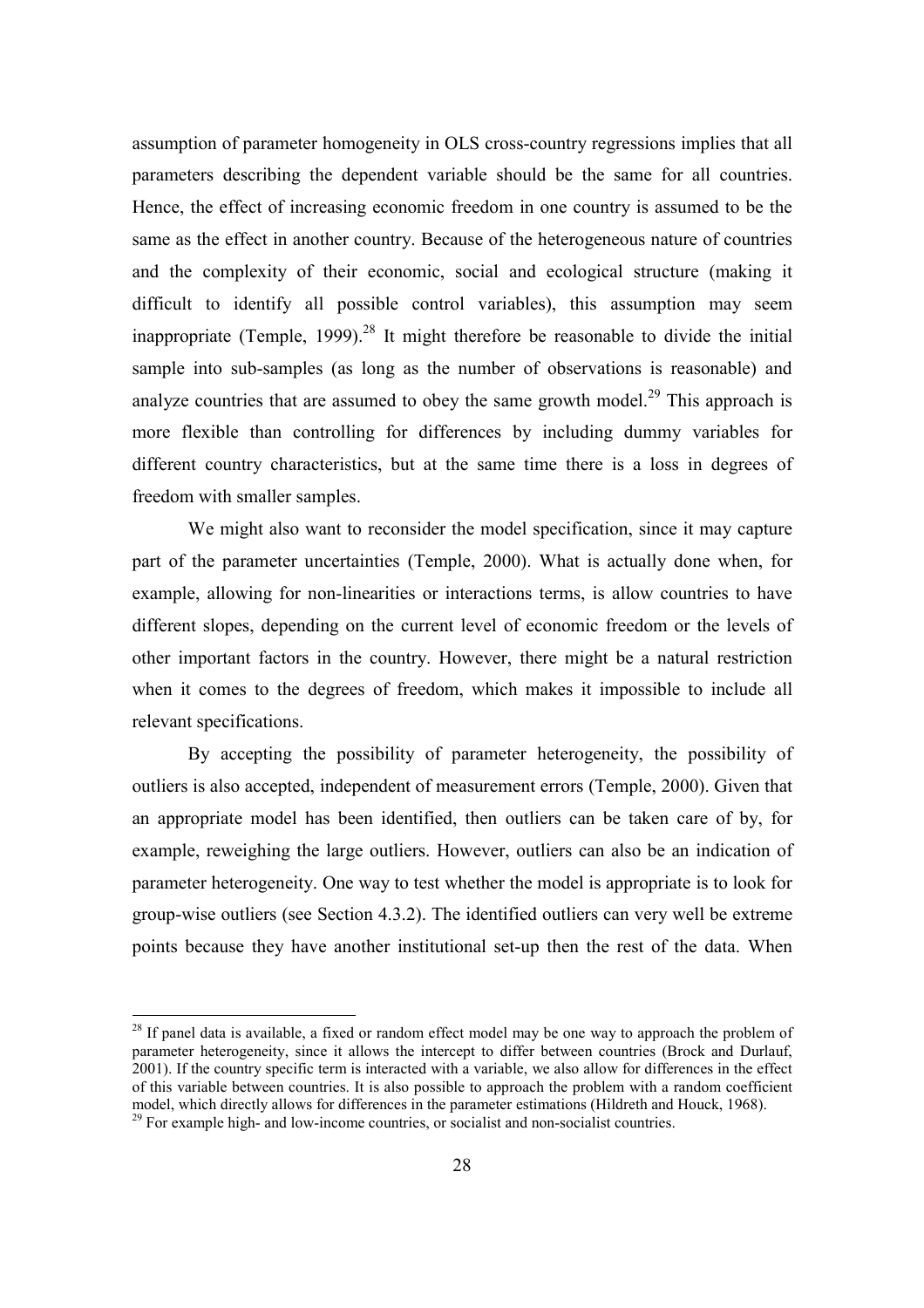assumption of parameter homogeneity in OLS cross-country regressions implies that all parameters describing the dependent variable should be the same for all countries. Hence, the effect of increasing economic freedom in one country is assumed to be the same as the effect in another country. Because of the heterogeneous nature of countries and the complexity of their economic, social and ecological structure (making it difficult to identify all possible control variables), this assumption may seem inappropriate (Temple, 1999).<sup>28</sup> It might therefore be reasonable to divide the initial sample into sub-samples (as long as the number of observations is reasonable) and analyze countries that are assumed to obey the same growth model.<sup>29</sup> This approach is more flexible than controlling for differences by including dummy variables for different country characteristics, but at the same time there is a loss in degrees of freedom with smaller samples.

 We might also want to reconsider the model specification, since it may capture part of the parameter uncertainties (Temple, 2000). What is actually done when, for example, allowing for non-linearities or interactions terms, is allow countries to have different slopes, depending on the current level of economic freedom or the levels of other important factors in the country. However, there might be a natural restriction when it comes to the degrees of freedom, which makes it impossible to include all relevant specifications.

By accepting the possibility of parameter heterogeneity, the possibility of outliers is also accepted, independent of measurement errors (Temple, 2000). Given that an appropriate model has been identified, then outliers can be taken care of by, for example, reweighing the large outliers. However, outliers can also be an indication of parameter heterogeneity. One way to test whether the model is appropriate is to look for group-wise outliers (see Section 4.3.2). The identified outliers can very well be extreme points because they have another institutional set-up then the rest of the data. When

<sup>&</sup>lt;sup>28</sup> If panel data is available, a fixed or random effect model may be one way to approach the problem of parameter heterogeneity, since it allows the intercept to differ between countries (Brock and Durlauf, 2001). If the country specific term is interacted with a variable, we also allow for differences in the effect of this variable between countries. It is also possible to approach the problem with a random coefficient model, which directly allows for differences in the parameter estimations (Hildreth and Houck, 1968).  $29$  For example high- and low-income countries, or socialist and non-socialist countries.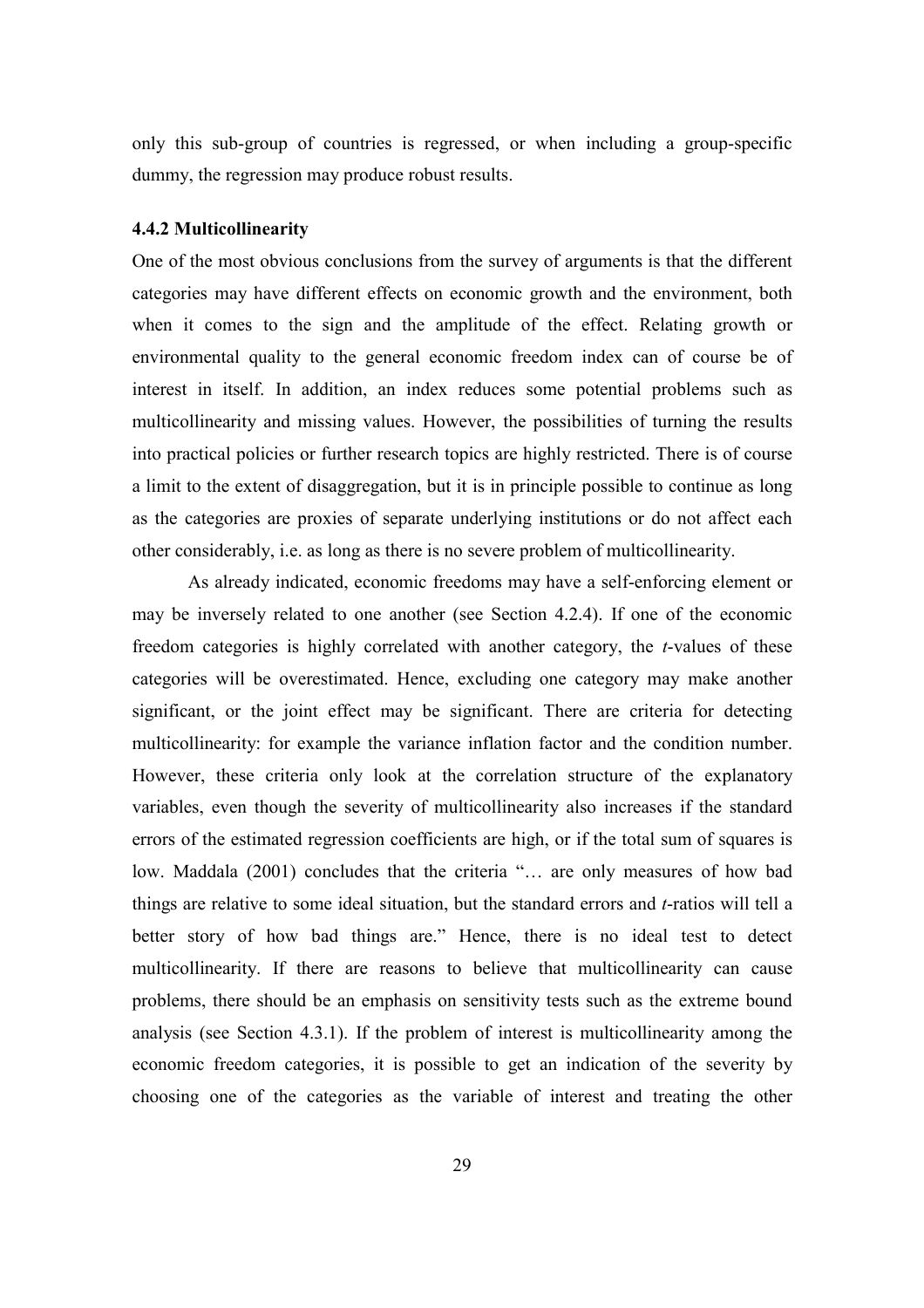only this sub-group of countries is regressed, or when including a group-specific dummy, the regression may produce robust results.

### **4.4.2 Multicollinearity**

One of the most obvious conclusions from the survey of arguments is that the different categories may have different effects on economic growth and the environment, both when it comes to the sign and the amplitude of the effect. Relating growth or environmental quality to the general economic freedom index can of course be of interest in itself. In addition, an index reduces some potential problems such as multicollinearity and missing values. However, the possibilities of turning the results into practical policies or further research topics are highly restricted. There is of course a limit to the extent of disaggregation, but it is in principle possible to continue as long as the categories are proxies of separate underlying institutions or do not affect each other considerably, i.e. as long as there is no severe problem of multicollinearity.

 As already indicated, economic freedoms may have a self-enforcing element or may be inversely related to one another (see Section 4.2.4). If one of the economic freedom categories is highly correlated with another category, the *t*-values of these categories will be overestimated. Hence, excluding one category may make another significant, or the joint effect may be significant. There are criteria for detecting multicollinearity: for example the variance inflation factor and the condition number. However, these criteria only look at the correlation structure of the explanatory variables, even though the severity of multicollinearity also increases if the standard errors of the estimated regression coefficients are high, or if the total sum of squares is low. Maddala (2001) concludes that the criteria "… are only measures of how bad things are relative to some ideal situation, but the standard errors and *t*-ratios will tell a better story of how bad things are." Hence, there is no ideal test to detect multicollinearity. If there are reasons to believe that multicollinearity can cause problems, there should be an emphasis on sensitivity tests such as the extreme bound analysis (see Section 4.3.1). If the problem of interest is multicollinearity among the economic freedom categories, it is possible to get an indication of the severity by choosing one of the categories as the variable of interest and treating the other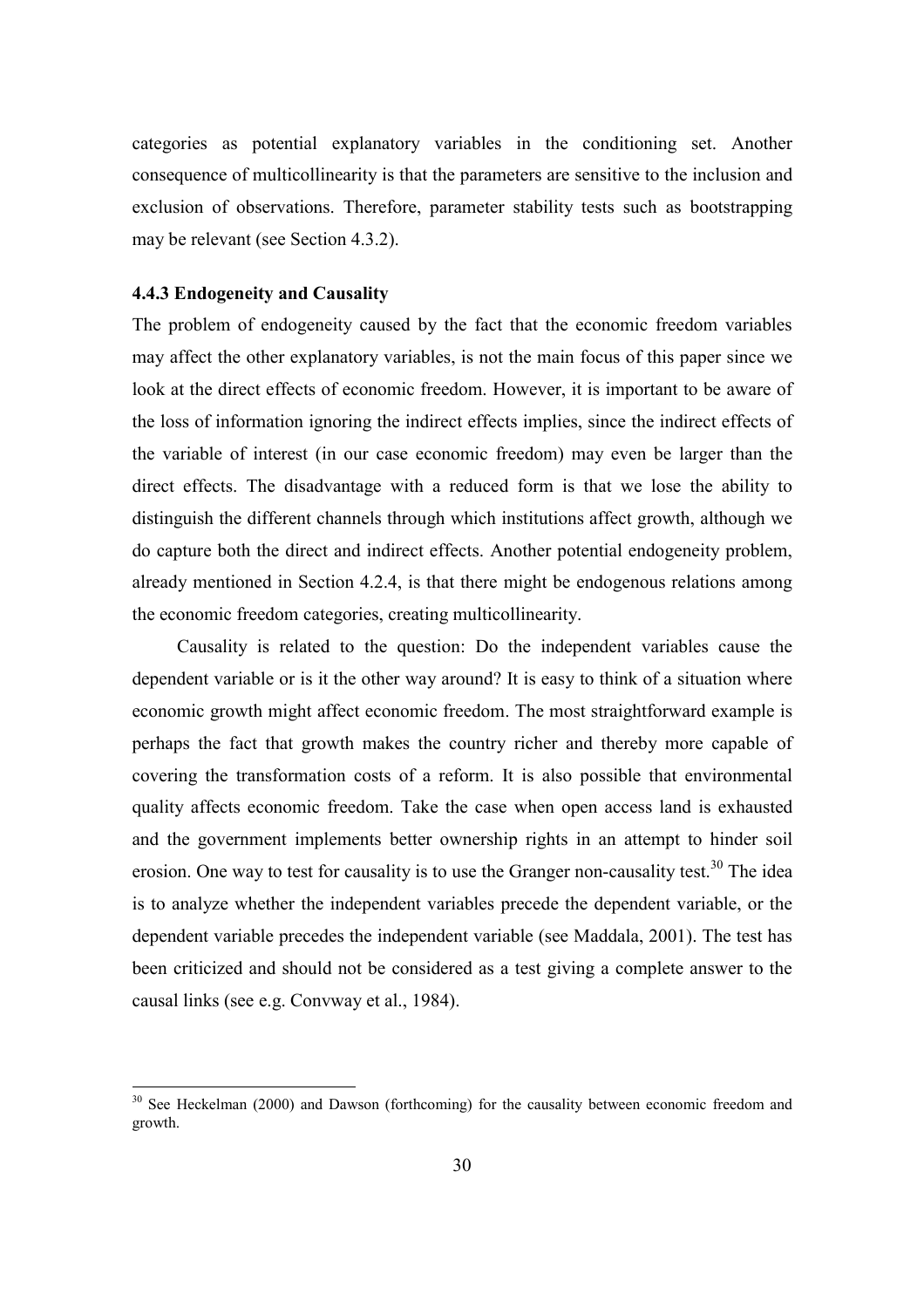categories as potential explanatory variables in the conditioning set. Another consequence of multicollinearity is that the parameters are sensitive to the inclusion and exclusion of observations. Therefore, parameter stability tests such as bootstrapping may be relevant (see Section 4.3.2).

#### **4.4.3 Endogeneity and Causality**

 $\overline{a}$ 

The problem of endogeneity caused by the fact that the economic freedom variables may affect the other explanatory variables, is not the main focus of this paper since we look at the direct effects of economic freedom. However, it is important to be aware of the loss of information ignoring the indirect effects implies, since the indirect effects of the variable of interest (in our case economic freedom) may even be larger than the direct effects. The disadvantage with a reduced form is that we lose the ability to distinguish the different channels through which institutions affect growth, although we do capture both the direct and indirect effects. Another potential endogeneity problem, already mentioned in Section 4.2.4, is that there might be endogenous relations among the economic freedom categories, creating multicollinearity.

Causality is related to the question: Do the independent variables cause the dependent variable or is it the other way around? It is easy to think of a situation where economic growth might affect economic freedom. The most straightforward example is perhaps the fact that growth makes the country richer and thereby more capable of covering the transformation costs of a reform. It is also possible that environmental quality affects economic freedom. Take the case when open access land is exhausted and the government implements better ownership rights in an attempt to hinder soil erosion. One way to test for causality is to use the Granger non-causality test.<sup>30</sup> The idea is to analyze whether the independent variables precede the dependent variable, or the dependent variable precedes the independent variable (see Maddala, 2001). The test has been criticized and should not be considered as a test giving a complete answer to the causal links (see e.g. Convway et al., 1984).

 $30$  See Heckelman (2000) and Dawson (forthcoming) for the causality between economic freedom and growth.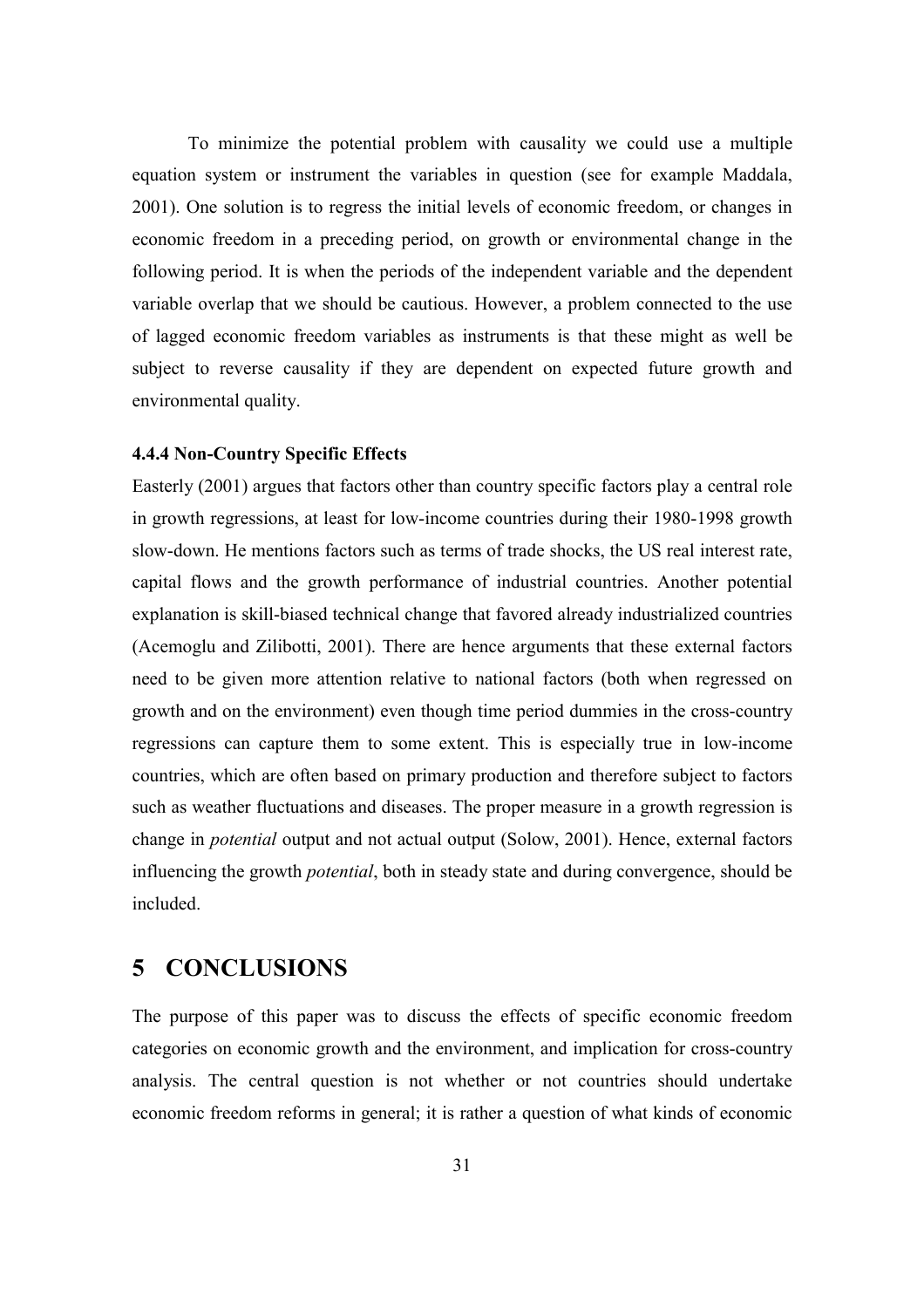To minimize the potential problem with causality we could use a multiple equation system or instrument the variables in question (see for example Maddala, 2001). One solution is to regress the initial levels of economic freedom, or changes in economic freedom in a preceding period, on growth or environmental change in the following period. It is when the periods of the independent variable and the dependent variable overlap that we should be cautious. However, a problem connected to the use of lagged economic freedom variables as instruments is that these might as well be subject to reverse causality if they are dependent on expected future growth and environmental quality.

### **4.4.4 Non-Country Specific Effects**

Easterly (2001) argues that factors other than country specific factors play a central role in growth regressions, at least for low-income countries during their 1980-1998 growth slow-down. He mentions factors such as terms of trade shocks, the US real interest rate, capital flows and the growth performance of industrial countries. Another potential explanation is skill-biased technical change that favored already industrialized countries (Acemoglu and Zilibotti, 2001). There are hence arguments that these external factors need to be given more attention relative to national factors (both when regressed on growth and on the environment) even though time period dummies in the cross-country regressions can capture them to some extent. This is especially true in low-income countries, which are often based on primary production and therefore subject to factors such as weather fluctuations and diseases. The proper measure in a growth regression is change in *potential* output and not actual output (Solow, 2001). Hence, external factors influencing the growth *potential*, both in steady state and during convergence, should be included.

## **5 CONCLUSIONS**

The purpose of this paper was to discuss the effects of specific economic freedom categories on economic growth and the environment, and implication for cross-country analysis. The central question is not whether or not countries should undertake economic freedom reforms in general; it is rather a question of what kinds of economic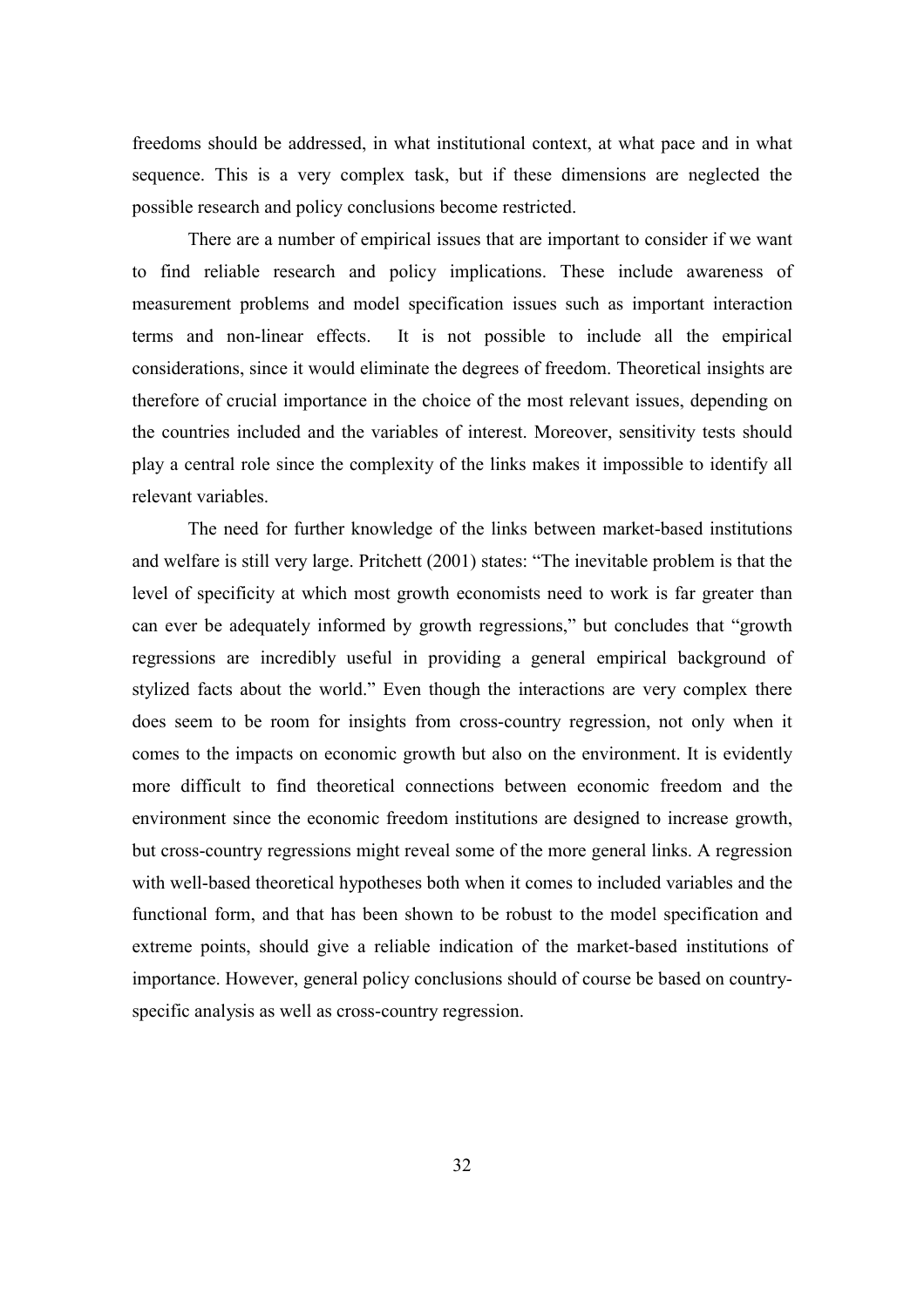freedoms should be addressed, in what institutional context, at what pace and in what sequence. This is a very complex task, but if these dimensions are neglected the possible research and policy conclusions become restricted.

There are a number of empirical issues that are important to consider if we want to find reliable research and policy implications. These include awareness of measurement problems and model specification issues such as important interaction terms and non-linear effects. It is not possible to include all the empirical considerations, since it would eliminate the degrees of freedom. Theoretical insights are therefore of crucial importance in the choice of the most relevant issues, depending on the countries included and the variables of interest. Moreover, sensitivity tests should play a central role since the complexity of the links makes it impossible to identify all relevant variables.

The need for further knowledge of the links between market-based institutions and welfare is still very large. Pritchett (2001) states: "The inevitable problem is that the level of specificity at which most growth economists need to work is far greater than can ever be adequately informed by growth regressions," but concludes that "growth regressions are incredibly useful in providing a general empirical background of stylized facts about the world." Even though the interactions are very complex there does seem to be room for insights from cross-country regression, not only when it comes to the impacts on economic growth but also on the environment. It is evidently more difficult to find theoretical connections between economic freedom and the environment since the economic freedom institutions are designed to increase growth, but cross-country regressions might reveal some of the more general links. A regression with well-based theoretical hypotheses both when it comes to included variables and the functional form, and that has been shown to be robust to the model specification and extreme points, should give a reliable indication of the market-based institutions of importance. However, general policy conclusions should of course be based on countryspecific analysis as well as cross-country regression.

32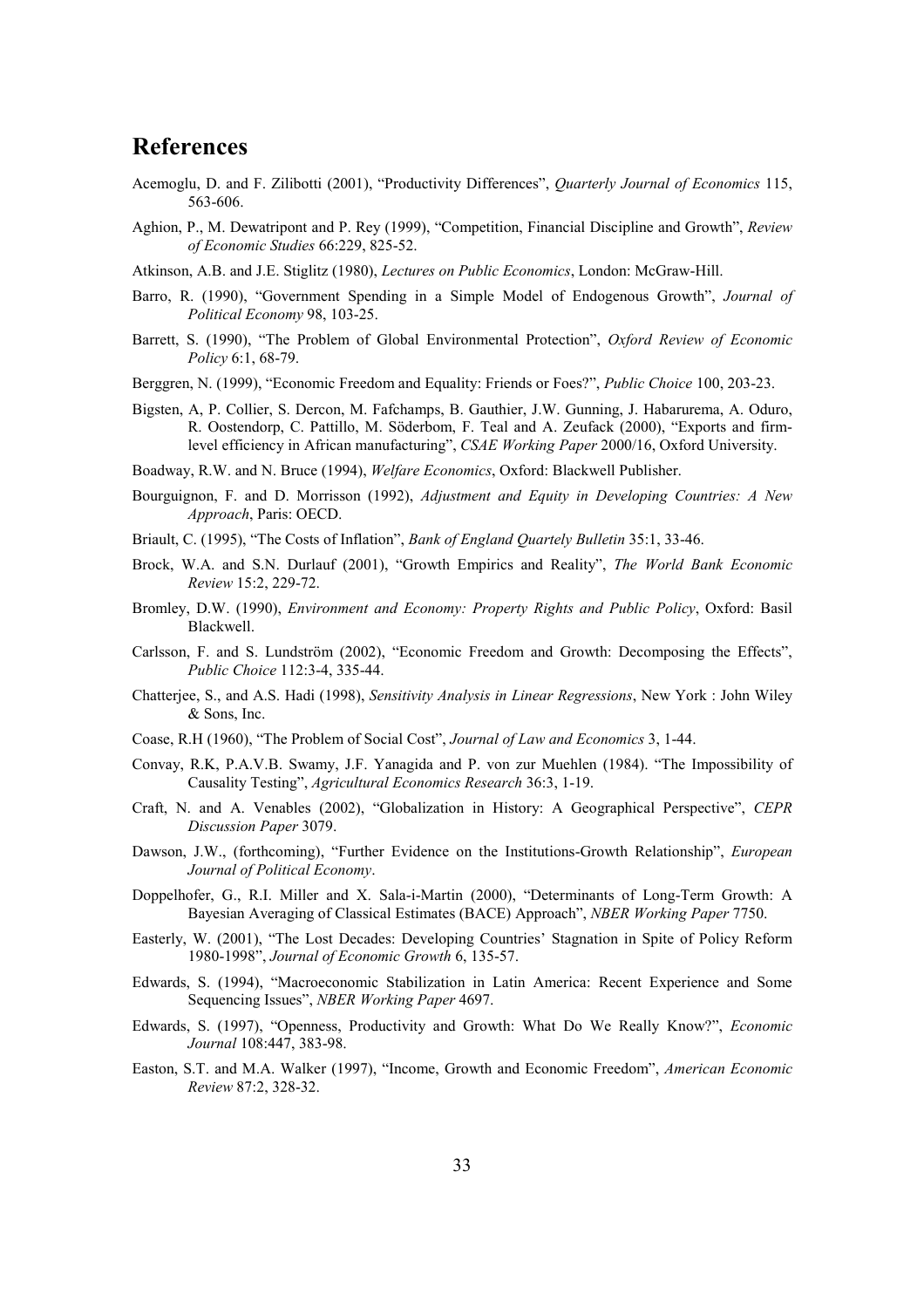## **References**

- Acemoglu, D. and F. Zilibotti (2001), "Productivity Differences", *Quarterly Journal of Economics* 115, 563-606.
- Aghion, P., M. Dewatripont and P. Rey (1999), "Competition, Financial Discipline and Growth", *Review of Economic Studies* 66:229, 825-52.
- Atkinson, A.B. and J.E. Stiglitz (1980), *Lectures on Public Economics*, London: McGraw-Hill.
- Barro, R. (1990), "Government Spending in a Simple Model of Endogenous Growth", *Journal of Political Economy* 98, 103-25.
- Barrett, S. (1990), "The Problem of Global Environmental Protection", *Oxford Review of Economic Policy* 6:1, 68-79.
- Berggren, N. (1999), "Economic Freedom and Equality: Friends or Foes?", *Public Choice* 100, 203-23.
- Bigsten, A, P. Collier, S. Dercon, M. Fafchamps, B. Gauthier, J.W. Gunning, J. Habarurema, A. Oduro, R. Oostendorp, C. Pattillo, M. Söderbom, F. Teal and A. Zeufack (2000), "Exports and firmlevel efficiency in African manufacturing", *CSAE Working Paper* 2000/16, Oxford University.

Boadway, R.W. and N. Bruce (1994), *Welfare Economics*, Oxford: Blackwell Publisher.

- Bourguignon, F. and D. Morrisson (1992), *Adjustment and Equity in Developing Countries: A New Approach*, Paris: OECD.
- Briault, C. (1995), "The Costs of Inflation", *Bank of England Quartely Bulletin* 35:1, 33-46.
- Brock, W.A. and S.N. Durlauf (2001), "Growth Empirics and Reality", *The World Bank Economic Review* 15:2, 229-72.
- Bromley, D.W. (1990), *Environment and Economy: Property Rights and Public Policy*, Oxford: Basil Blackwell.
- Carlsson, F. and S. Lundström (2002), "Economic Freedom and Growth: Decomposing the Effects", *Public Choice* 112:3-4, 335-44.
- Chatterjee, S., and A.S. Hadi (1998), *Sensitivity Analysis in Linear Regressions*, New York : John Wiley & Sons, Inc.
- Coase, R.H (1960), "The Problem of Social Cost", *Journal of Law and Economics* 3, 1-44.
- Convay, R.K, P.A.V.B. Swamy, J.F. Yanagida and P. von zur Muehlen (1984). "The Impossibility of Causality Testing", *Agricultural Economics Research* 36:3, 1-19.
- Craft, N. and A. Venables (2002), "Globalization in History: A Geographical Perspective", *CEPR Discussion Paper* 3079.
- Dawson, J.W., (forthcoming), "Further Evidence on the Institutions-Growth Relationship", *European Journal of Political Economy*.
- Doppelhofer, G., R.I. Miller and X. Sala-i-Martin (2000), "Determinants of Long-Term Growth: A Bayesian Averaging of Classical Estimates (BACE) Approach", *NBER Working Paper* 7750.
- Easterly, W. (2001), "The Lost Decades: Developing Countries' Stagnation in Spite of Policy Reform 1980-1998", *Journal of Economic Growth* 6, 135-57.
- Edwards, S. (1994), "Macroeconomic Stabilization in Latin America: Recent Experience and Some Sequencing Issues", *NBER Working Paper* 4697.
- Edwards, S. (1997), "Openness, Productivity and Growth: What Do We Really Know?", *Economic Journal* 108:447, 383-98.
- Easton, S.T. and M.A. Walker (1997), "Income, Growth and Economic Freedom", *American Economic Review* 87:2, 328-32.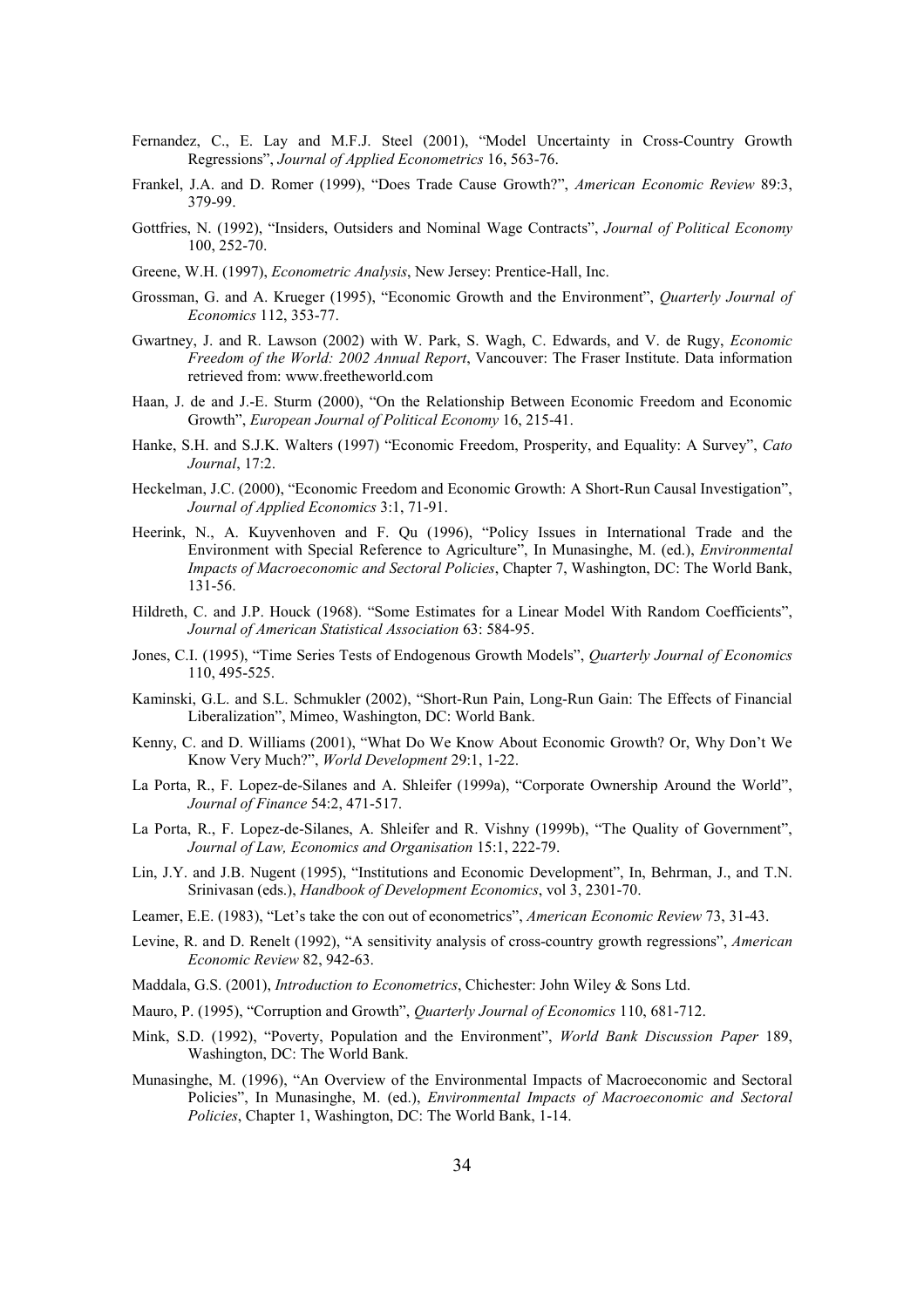- Fernandez, C., E. Lay and M.F.J. Steel (2001), "Model Uncertainty in Cross-Country Growth Regressions", *Journal of Applied Econometrics* 16, 563-76.
- Frankel, J.A. and D. Romer (1999), "Does Trade Cause Growth?", *American Economic Review* 89:3, 379-99.
- Gottfries, N. (1992), "Insiders, Outsiders and Nominal Wage Contracts", *Journal of Political Economy* 100, 252-70.
- Greene, W.H. (1997), *Econometric Analysis*, New Jersey: Prentice-Hall, Inc.
- Grossman, G. and A. Krueger (1995), "Economic Growth and the Environment", *Quarterly Journal of Economics* 112, 353-77.
- Gwartney, J. and R. Lawson (2002) with W. Park, S. Wagh, C. Edwards, and V. de Rugy, *Economic Freedom of the World: 2002 Annual Report*, Vancouver: The Fraser Institute. Data information retrieved from: www.freetheworld.com
- Haan, J. de and J.-E. Sturm (2000), "On the Relationship Between Economic Freedom and Economic Growth", *European Journal of Political Economy* 16, 215-41.
- Hanke, S.H. and S.J.K. Walters (1997) "Economic Freedom, Prosperity, and Equality: A Survey", *Cato Journal*, 17:2.
- Heckelman, J.C. (2000), "Economic Freedom and Economic Growth: A Short-Run Causal Investigation", *Journal of Applied Economics* 3:1, 71-91.
- Heerink, N., A. Kuyvenhoven and F. Qu (1996), "Policy Issues in International Trade and the Environment with Special Reference to Agriculture", In Munasinghe, M. (ed.), *Environmental Impacts of Macroeconomic and Sectoral Policies*, Chapter 7, Washington, DC: The World Bank, 131-56.
- Hildreth, C. and J.P. Houck (1968). "Some Estimates for a Linear Model With Random Coefficients", *Journal of American Statistical Association* 63: 584-95.
- Jones, C.I. (1995), "Time Series Tests of Endogenous Growth Models", *Quarterly Journal of Economics*  110, 495-525.
- Kaminski, G.L. and S.L. Schmukler (2002), "Short-Run Pain, Long-Run Gain: The Effects of Financial Liberalization", Mimeo, Washington, DC: World Bank.
- Kenny, C. and D. Williams (2001), "What Do We Know About Economic Growth? Or, Why Don't We Know Very Much?", *World Development* 29:1, 1-22.
- La Porta, R., F. Lopez-de-Silanes and A. Shleifer (1999a), "Corporate Ownership Around the World", *Journal of Finance* 54:2, 471-517.
- La Porta, R., F. Lopez-de-Silanes, A. Shleifer and R. Vishny (1999b), "The Quality of Government", *Journal of Law, Economics and Organisation* 15:1, 222-79.
- Lin, J.Y. and J.B. Nugent (1995), "Institutions and Economic Development", In, Behrman, J., and T.N. Srinivasan (eds.), *Handbook of Development Economics*, vol 3, 2301-70.
- Leamer, E.E. (1983), "Let's take the con out of econometrics", *American Economic Review* 73, 31-43.
- Levine, R. and D. Renelt (1992), "A sensitivity analysis of cross-country growth regressions", *American Economic Review* 82, 942-63.
- Maddala, G.S. (2001), *Introduction to Econometrics*, Chichester: John Wiley & Sons Ltd.
- Mauro, P. (1995), "Corruption and Growth", *Quarterly Journal of Economics* 110, 681-712.
- Mink, S.D. (1992), "Poverty, Population and the Environment", *World Bank Discussion Paper* 189, Washington, DC: The World Bank.
- Munasinghe, M. (1996), "An Overview of the Environmental Impacts of Macroeconomic and Sectoral Policies", In Munasinghe, M. (ed.), *Environmental Impacts of Macroeconomic and Sectoral Policies*, Chapter 1, Washington, DC: The World Bank, 1-14.